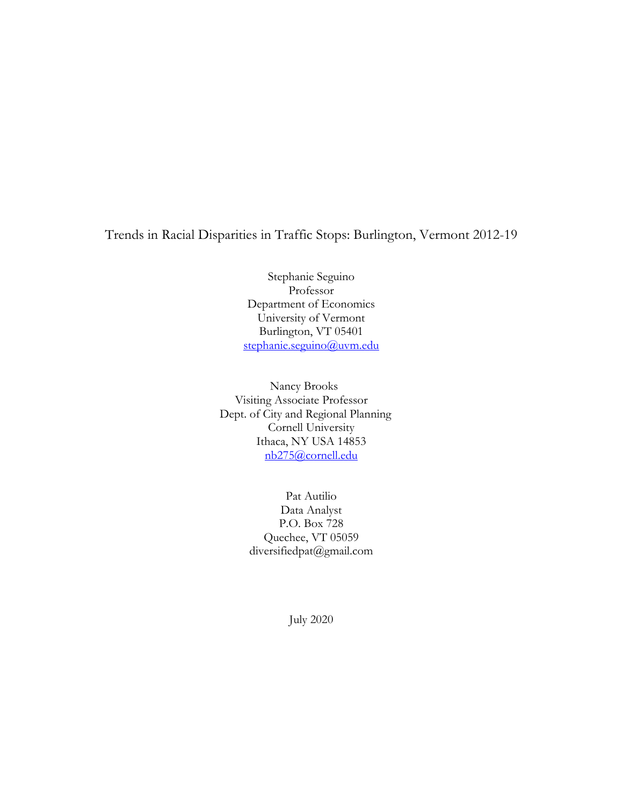# Trends in Racial Disparities in Traffic Stops: Burlington, Vermont 2012-19

 University of Vermont Stephanie Seguino Professor Department of Economics Burlington, VT 05401 stephanie.seguino@uvm.edu

Nancy Brooks Visiting Associate Professor Dept. of City and Regional Planning Cornell University Ithaca, NY USA 14853 nb275@cornell.edu

> Pat Autilio Data Analyst P.O. Box 728 Quechee, VT 05059 diversifiedpat@gmail.com

> > July 2020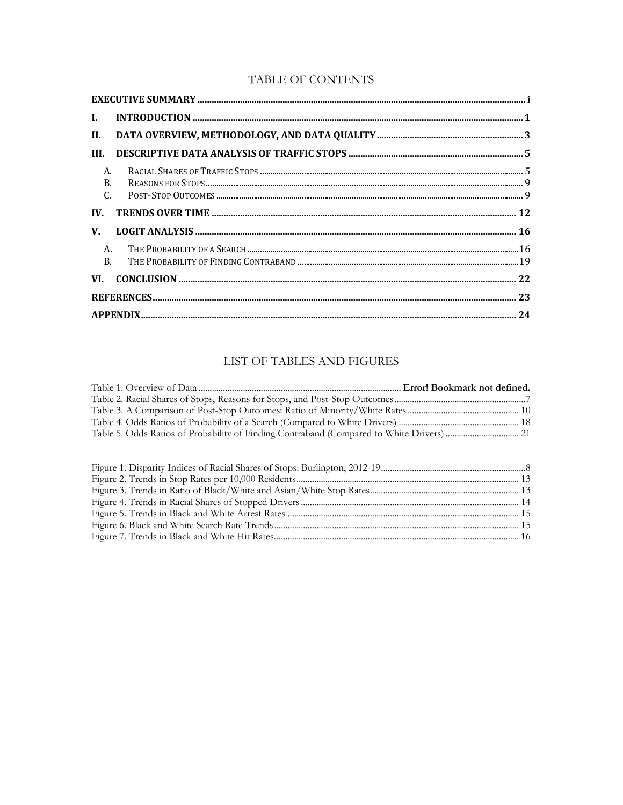### TABLE OF CONTENTS

| $\mathbf{I}$ . |  |
|----------------|--|
|                |  |
| HI.            |  |
| A.<br>C.       |  |
| IV.            |  |
| $V_{\cdot}$    |  |
| B.             |  |
|                |  |
|                |  |
|                |  |

# LIST OF TABLES AND FIGURES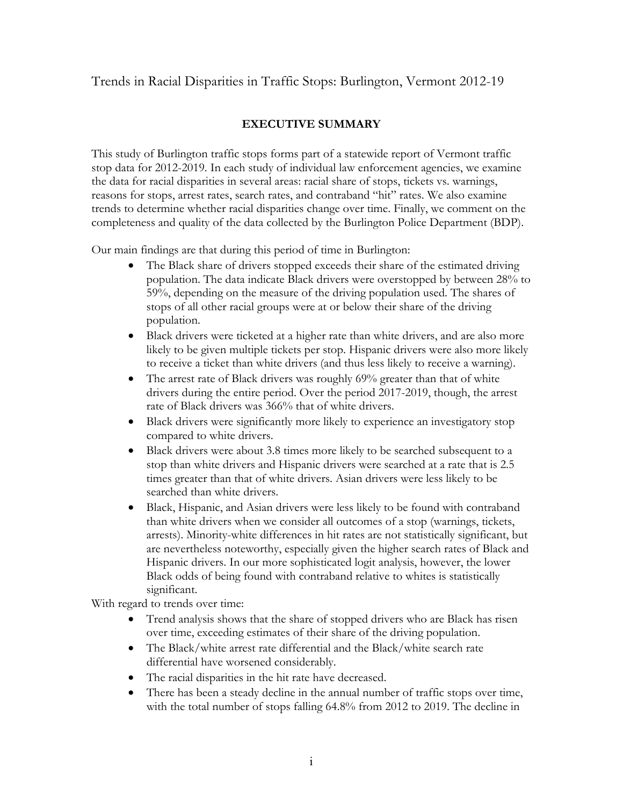# <span id="page-2-0"></span>Trends in Racial Disparities in Traffic Stops: Burlington, Vermont 2012-19

## **EXECUTIVE SUMMARY**

 This study of Burlington traffic stops forms part of a statewide report of Vermont traffic reasons for stops, arrest rates, search rates, and contraband "hit" rates. We also examine completeness and quality of the data collected by the Burlington Police Department (BDP). stop data for 2012-2019. In each study of individual law enforcement agencies, we examine the data for racial disparities in several areas: racial share of stops, tickets vs. warnings, trends to determine whether racial disparities change over time. Finally, we comment on the

Our main findings are that during this period of time in Burlington:

- population. The data indicate Black drivers were overstopped by between 28% to population. The Black share of drivers stopped exceeds their share of the estimated driving 59%, depending on the measure of the driving population used. The shares of stops of all other racial groups were at or below their share of the driving
- • Black drivers were ticketed at a higher rate than white drivers, and are also more likely to be given multiple tickets per stop. Hispanic drivers were also more likely to receive a ticket than white drivers (and thus less likely to receive a warning).
- The arrest rate of Black drivers was roughly 69% greater than that of white rate of Black drivers was 366% that of white drivers. drivers during the entire period. Over the period 2017-2019, though, the arrest
- • Black drivers were significantly more likely to experience an investigatory stop compared to white drivers.
- • Black drivers were about 3.8 times more likely to be searched subsequent to a stop than white drivers and Hispanic drivers were searched at a rate that is 2.5 times greater than that of white drivers. Asian drivers were less likely to be searched than white drivers.
- • Black, Hispanic, and Asian drivers were less likely to be found with contraband than white drivers when we consider all outcomes of a stop (warnings, tickets, are nevertheless noteworthy, especially given the higher search rates of Black and Hispanic drivers. In our more sophisticated logit analysis, however, the lower arrests). Minority-white differences in hit rates are not statistically significant, but Black odds of being found with contraband relative to whites is statistically significant.

With regard to trends over time:

- • Trend analysis shows that the share of stopped drivers who are Black has risen over time, exceeding estimates of their share of the driving population.
- differential have worsened considerably. • The Black/white arrest rate differential and the Black/white search rate
- The racial disparities in the hit rate have decreased.
- There has been a steady decline in the annual number of traffic stops over time, with the total number of stops falling 64.8% from 2012 to 2019. The decline in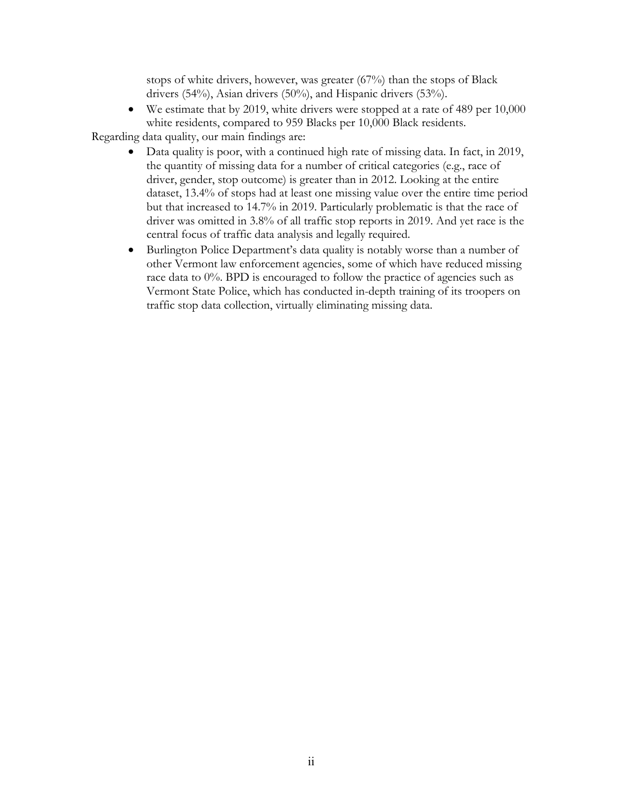drivers (54%), Asian drivers (50%), and Hispanic drivers (53%). stops of white drivers, however, was greater (67%) than the stops of Black

 white residents, compared to 959 Blacks per 10,000 Black residents. • We estimate that by 2019, white drivers were stopped at a rate of 489 per 10,000

Regarding data quality, our main findings are:

- driver, gender, stop outcome) is greater than in 2012. Looking at the entire dataset, 13.4% of stops had at least one missing value over the entire time period but that increased to 14.7% in 2019. Particularly problematic is that the race of driver was omitted in 3.8% of all traffic stop reports in 2019. And yet race is the central focus of traffic data analysis and legally required. • Data quality is poor, with a continued high rate of missing data. In fact, in 2019, the quantity of missing data for a number of critical categories (e.g., race of
- race data to 0%. BPD is encouraged to follow the practice of agencies such as traffic stop data collection, virtually eliminating missing data. • Burlington Police Department's data quality is notably worse than a number of other Vermont law enforcement agencies, some of which have reduced missing Vermont State Police, which has conducted in-depth training of its troopers on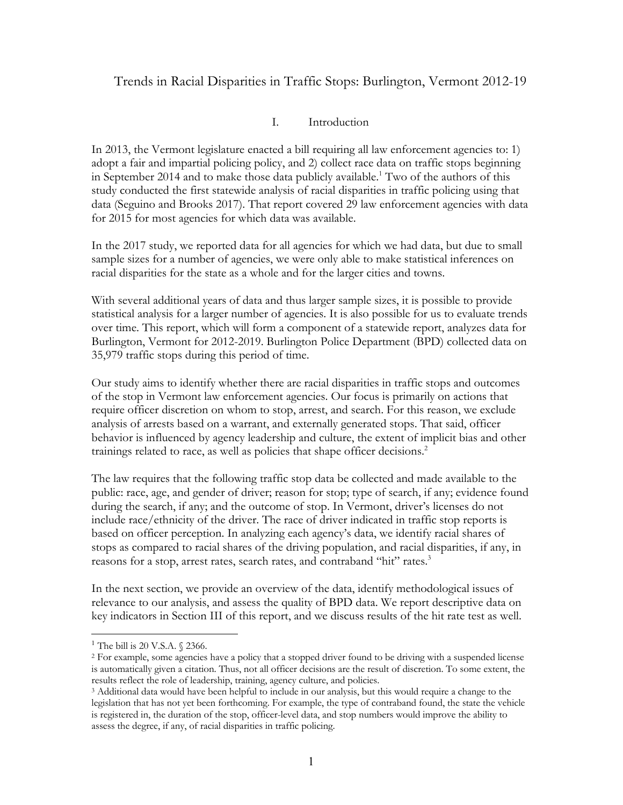# <span id="page-4-0"></span>Trends in Racial Disparities in Traffic Stops: Burlington, Vermont 2012-19

### I. Introduction

 data (Seguino and Brooks 2017). That report covered 29 law enforcement agencies with data for 2015 for most agencies for which data was available. In 2013, the Vermont legislature enacted a bill requiring all law enforcement agencies to: 1) adopt a fair and impartial policing policy, and 2) collect race data on traffic stops beginning in September 2014 and to make those data publicly available.<sup>1</sup> Two of the authors of this study conducted the first statewide analysis of racial disparities in traffic policing using that

 racial disparities for the state as a whole and for the larger cities and towns. In the 2017 study, we reported data for all agencies for which we had data, but due to small sample sizes for a number of agencies, we were only able to make statistical inferences on

 35,979 traffic stops during this period of time. With several additional years of data and thus larger sample sizes, it is possible to provide statistical analysis for a larger number of agencies. It is also possible for us to evaluate trends over time. This report, which will form a component of a statewide report, analyzes data for Burlington, Vermont for 2012-2019. Burlington Police Department (BPD) collected data on

 require officer discretion on whom to stop, arrest, and search. For this reason, we exclude analysis of arrests based on a warrant, and externally generated stops. That said, officer trainings related to race, as well as policies that shape officer decisions.<sup>2</sup> Our study aims to identify whether there are racial disparities in traffic stops and outcomes of the stop in Vermont law enforcement agencies. Our focus is primarily on actions that behavior is influenced by agency leadership and culture, the extent of implicit bias and other

 include race/ethnicity of the driver. The race of driver indicated in traffic stop reports is stops as compared to racial shares of the driving population, and racial disparities, if any, in reasons for a stop, arrest rates, search rates, and contraband "hit" rates.<sup>3</sup> The law requires that the following traffic stop data be collected and made available to the public: race, age, and gender of driver; reason for stop; type of search, if any; evidence found during the search, if any; and the outcome of stop. In Vermont, driver's licenses do not based on officer perception. In analyzing each agency's data, we identify racial shares of

 relevance to our analysis, and assess the quality of BPD data. We report descriptive data on In the next section, we provide an overview of the data, identify methodological issues of key indicators in Section III of this report, and we discuss results of the hit rate test as well.

<sup>&</sup>lt;sup>1</sup> The bill is 20 V.S.A.  $\S$  2366.

 <sup>2</sup> For example, some agencies have a policy that a stopped driver found to be driving with a suspended license results reflect the role of leadership, training, agency culture, and policies. is automatically given a citation. Thus, not all officer decisions are the result of discretion. To some extent, the

 results reflect the role of leadership, training, agency culture, and policies. 3 Additional data would have been helpful to include in our analysis, but this would require a change to the legislation that has not yet been forthcoming. For example, the type of contraband found, the state the vehicle is registered in, the duration of the stop, officer-level data, and stop numbers would improve the ability to assess the degree, if any, of racial disparities in traffic policing.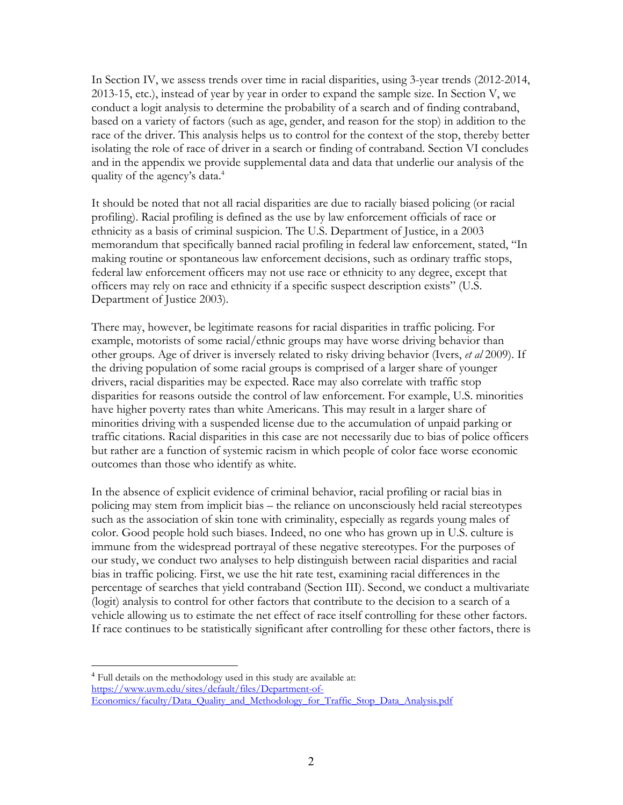quality of the agency's data.<sup>4</sup> In Section IV, we assess trends over time in racial disparities, using 3-year trends (2012-2014, 2013-15, etc.), instead of year by year in order to expand the sample size. In Section V, we conduct a logit analysis to determine the probability of a search and of finding contraband, based on a variety of factors (such as age, gender, and reason for the stop) in addition to the race of the driver. This analysis helps us to control for the context of the stop, thereby better isolating the role of race of driver in a search or finding of contraband. Section VI concludes and in the appendix we provide supplemental data and data that underlie our analysis of the

 officers may rely on race and ethnicity if a specific suspect description exists" (U.S. It should be noted that not all racial disparities are due to racially biased policing (or racial profiling). Racial profiling is defined as the use by law enforcement officials of race or ethnicity as a basis of criminal suspicion. The U.S. Department of Justice, in a 2003 memorandum that specifically banned racial profiling in federal law enforcement, stated, "In making routine or spontaneous law enforcement decisions, such as ordinary traffic stops, federal law enforcement officers may not use race or ethnicity to any degree, except that Department of Justice 2003).

 other groups. Age of driver is inversely related to risky driving behavior (Ivers, *et al* 2009). If outcomes than those who identify as white. There may, however, be legitimate reasons for racial disparities in traffic policing. For example, motorists of some racial/ethnic groups may have worse driving behavior than the driving population of some racial groups is comprised of a larger share of younger drivers, racial disparities may be expected. Race may also correlate with traffic stop disparities for reasons outside the control of law enforcement. For example, U.S. minorities have higher poverty rates than white Americans. This may result in a larger share of minorities driving with a suspended license due to the accumulation of unpaid parking or traffic citations. Racial disparities in this case are not necessarily due to bias of police officers but rather are a function of systemic racism in which people of color face worse economic

 policing may stem from implicit bias – the reliance on unconsciously held racial stereotypes bias in traffic policing. First, we use the hit rate test, examining racial differences in the In the absence of explicit evidence of criminal behavior, racial profiling or racial bias in such as the association of skin tone with criminality, especially as regards young males of color. Good people hold such biases. Indeed, no one who has grown up in U.S. culture is immune from the widespread portrayal of these negative stereotypes. For the purposes of our study, we conduct two analyses to help distinguish between racial disparities and racial percentage of searches that yield contraband (Section III). Second, we conduct a multivariate (logit) analysis to control for other factors that contribute to the decision to a search of a vehicle allowing us to estimate the net effect of race itself controlling for these other factors. If race continues to be statistically significant after controlling for these other factors, there is

<sup>4</sup> Full details on the methodology used in this study are available at: https://www.uvm.edu/sites/default/files/Department-of-Economics/faculty/Data\_Quality\_and\_Methodology\_for\_Traffic\_Stop\_Data\_Analysis.pdf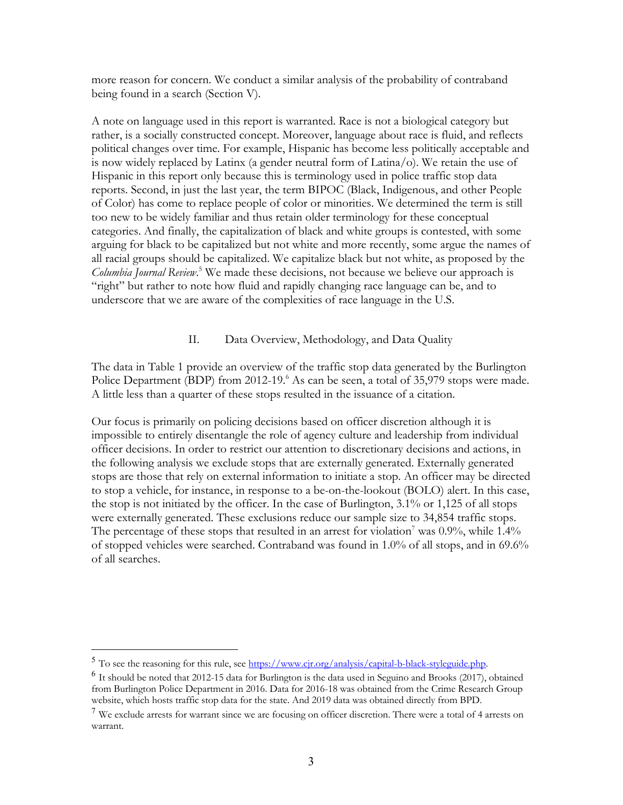<span id="page-6-0"></span>being found in a search (Section V). more reason for concern. We conduct a similar analysis of the probability of contraband

A note on language used in this report is warranted. Race is not a biological category but rather, is a socially constructed concept. Moreover, language about race is fluid, and reflects political changes over time. For example, Hispanic has become less politically acceptable and is now widely replaced by Latinx (a gender neutral form of Latina/o). We retain the use of Hispanic in this report only because this is terminology used in police traffic stop data reports. Second, in just the last year, the term BIPOC (Black, Indigenous, and other People of Color) has come to replace people of color or minorities. We determined the term is still too new to be widely familiar and thus retain older terminology for these conceptual categories. And finally, the capitalization of black and white groups is contested, with some arguing for black to be capitalized but not white and more recently, some argue the names of all racial groups should be capitalized. We capitalize black but not white, as proposed by the *Columbia Journal Review*. <sup>5</sup> We made these decisions, not because we believe our approach is "right" but rather to note how fluid and rapidly changing race language can be, and to underscore that we are aware of the complexities of race language in the U.S.

### II. Data Overview, Methodology, and Data Quality

 The data in Table 1 provide an overview of the traffic stop data generated by the Burlington A little less than a quarter of these stops resulted in the issuance of a citation. Police Department (BDP) from 2012-19.<sup>6</sup> As can be seen, a total of 35,979 stops were made.

 the stop is not initiated by the officer. In the case of Burlington, 3.1% or 1,125 of all stops were externally generated. These exclusions reduce our sample size to 34,854 traffic stops. of stopped vehicles were searched. Contraband was found in 1.0% of all stops, and in 69.6% of all searches. Our focus is primarily on policing decisions based on officer discretion although it is impossible to entirely disentangle the role of agency culture and leadership from individual officer decisions. In order to restrict our attention to discretionary decisions and actions, in the following analysis we exclude stops that are externally generated. Externally generated stops are those that rely on external information to initiate a stop. An officer may be directed to stop a vehicle, for instance, in response to a be-on-the-lookout (BOLO) alert. In this case, The percentage of these stops that resulted in an arrest for violation<sup>7</sup> was  $0.9\%$ , while 1.4%

<sup>&</sup>lt;sup>5</sup> To see the reasoning for this rule, see https://www.cjr.org/analysis/capital-b-black-styleguide.php.

 $^6$  It should be noted that 2012-15 data for Burlington is the data used in Seguino and Brooks (2017), obtained from Burlington Police Department in 2016. Data for 2016-18 was obtained from the Crime Research Group website, which hosts traffic stop data for the state. And 2019 data was obtained directly from BPD.

 $7$  We exclude arrests for warrant since we are focusing on officer discretion. There were a total of 4 arrests on warrant.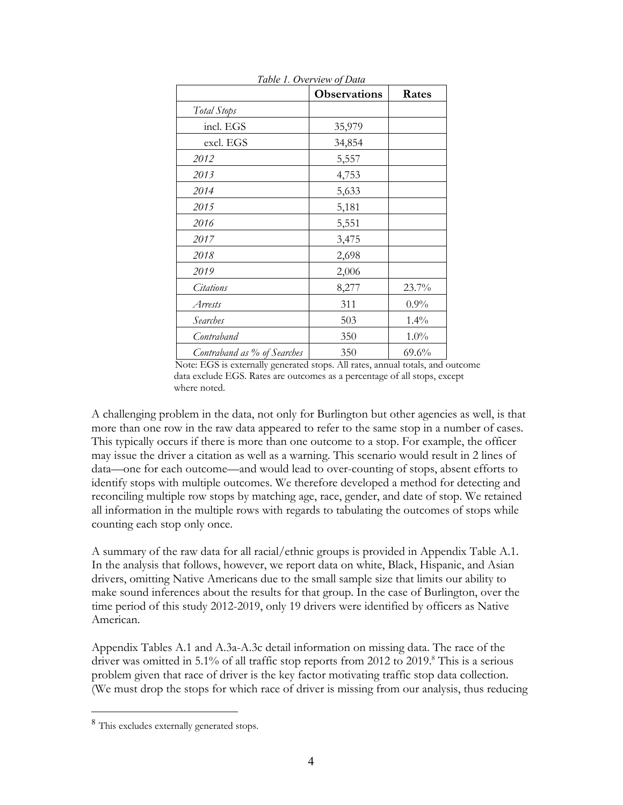|                             | <b>Observations</b> | Rates    |
|-----------------------------|---------------------|----------|
| Total Stops                 |                     |          |
| incl. EGS                   | 35,979              |          |
| excl. EGS                   | 34,854              |          |
| 2012                        | 5,557               |          |
| 2013                        | 4,753               |          |
| 2014                        | 5,633               |          |
| 2015                        | 5,181               |          |
| 2016                        | 5,551               |          |
| 2017                        | 3,475               |          |
| 2018                        | 2,698               |          |
| 2019                        | 2,006               |          |
| <i>Citations</i>            | 8,277               | 23.7%    |
| Arrests                     | 311                 | $0.9\%$  |
| Searches                    | 503                 | $1.4\%$  |
| Contraband                  | 350                 | $1.0\%$  |
| Contraband as % of Searches | 350                 | $69.6\%$ |

*Table 1. Overview of Data* 

 data exclude EGS. Rates are outcomes as a percentage of all stops, except Note: EGS is externally generated stops. All rates, annual totals, and outcome where noted.

 A challenging problem in the data, not only for Burlington but other agencies as well, is that This typically occurs if there is more than one outcome to a stop. For example, the officer may issue the driver a citation as well as a warning. This scenario would result in 2 lines of identify stops with multiple outcomes. We therefore developed a method for detecting and reconciling multiple row stops by matching age, race, gender, and date of stop. We retained all information in the multiple rows with regards to tabulating the outcomes of stops while more than one row in the raw data appeared to refer to the same stop in a number of cases. data—one for each outcome—and would lead to over-counting of stops, absent efforts to counting each stop only once.

 A summary of the raw data for all racial/ethnic groups is provided in Appendix Table A.1. In the analysis that follows, however, we report data on white, Black, Hispanic, and Asian time period of this study 2012-2019, only 19 drivers were identified by officers as Native American. drivers, omitting Native Americans due to the small sample size that limits our ability to make sound inferences about the results for that group. In the case of Burlington, over the

American.<br>Appendix Tables A.1 and A.3a-A.3c detail information on missing data. The race of the driver was omitted in 5.1% of all traffic stop reports from 2012 to 2019.<sup>8</sup> This is a serious (We must drop the stops for which race of driver is missing from our analysis, thus reducing problem given that race of driver is the key factor motivating traffic stop data collection.

<sup>&</sup>lt;sup>8</sup> This excludes externally generated stops.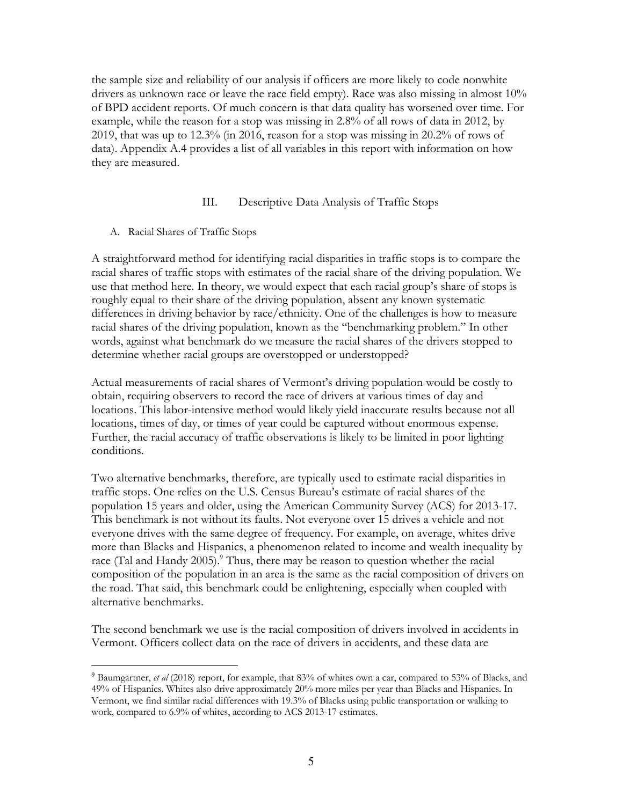<span id="page-8-0"></span>the sample size and reliability of our analysis if officers are more likely to code nonwhite drivers as unknown race or leave the race field empty). Race was also missing in almost 10% of BPD accident reports. Of much concern is that data quality has worsened over time. For example, while the reason for a stop was missing in 2.8% of all rows of data in 2012, by 2019, that was up to 12.3% (in 2016, reason for a stop was missing in 20.2% of rows of data). Appendix A.4 provides a list of all variables in this report with information on how they are measured.

### III. Descriptive Data Analysis of Traffic Stops

A. Racial Shares of Traffic Stops

A straightforward method for identifying racial disparities in traffic stops is to compare the racial shares of traffic stops with estimates of the racial share of the driving population. We use that method here. In theory, we would expect that each racial group's share of stops is roughly equal to their share of the driving population, absent any known systematic differences in driving behavior by race/ethnicity. One of the challenges is how to measure racial shares of the driving population, known as the "benchmarking problem." In other words, against what benchmark do we measure the racial shares of the drivers stopped to determine whether racial groups are overstopped or understopped?

conditions. Actual measurements of racial shares of Vermont's driving population would be costly to obtain, requiring observers to record the race of drivers at various times of day and locations. This labor-intensive method would likely yield inaccurate results because not all locations, times of day, or times of year could be captured without enormous expense. Further, the racial accuracy of traffic observations is likely to be limited in poor lighting

 population 15 years and older, using the American Community Survey (ACS) for 2013-17. Two alternative benchmarks, therefore, are typically used to estimate racial disparities in traffic stops. One relies on the U.S. Census Bureau's estimate of racial shares of the This benchmark is not without its faults. Not everyone over 15 drives a vehicle and not everyone drives with the same degree of frequency. For example, on average, whites drive more than Blacks and Hispanics, a phenomenon related to income and wealth inequality by race (Tal and Handy 2005).<sup>9</sup> Thus, there may be reason to question whether the racial composition of the population in an area is the same as the racial composition of drivers on the road. That said, this benchmark could be enlightening, especially when coupled with alternative benchmarks.

The second benchmark we use is the racial composition of drivers involved in accidents in Vermont. Officers collect data on the race of drivers in accidents, and these data are

 <sup>9</sup> Baumgartner, *et al* (2018) report, for example, that 83% of whites own a car, compared to 53% of Blacks, and 49% of Hispanics. Whites also drive approximately 20% more miles per year than Blacks and Hispanics. In Vermont, we find similar racial differences with 19.3% of Blacks using public transportation or walking to work, compared to 6.9% of whites, according to ACS 2013-17 estimates.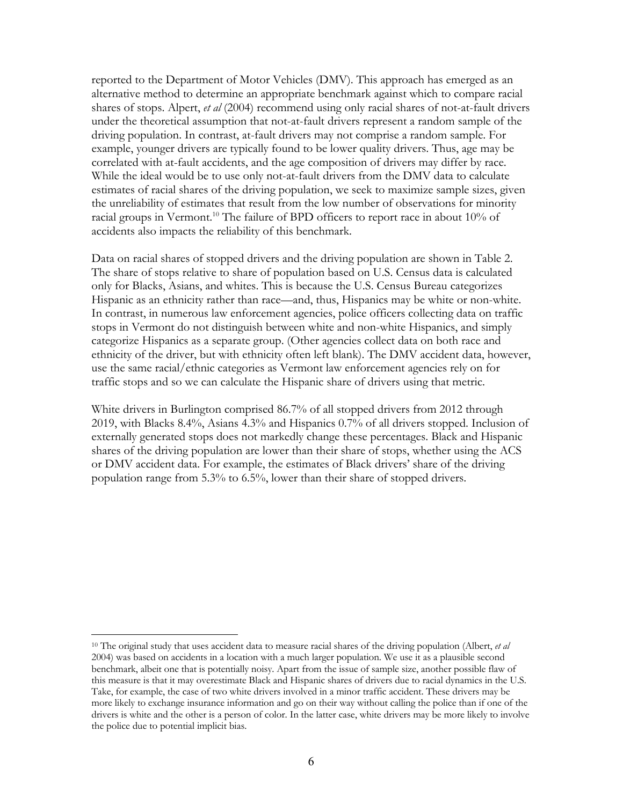alternative method to determine an appropriate benchmark against which to compare racial shares of stops. Alpert, *et al* (2004) recommend using only racial shares of not-at-fault drivers example, younger drivers are typically found to be lower quality drivers. Thus, age may be the unreliability of estimates that result from the low number of observations for minority accidents also impacts the reliability of this benchmark. reported to the Department of Motor Vehicles (DMV). This approach has emerged as an under the theoretical assumption that not-at-fault drivers represent a random sample of the driving population. In contrast, at-fault drivers may not comprise a random sample. For correlated with at-fault accidents, and the age composition of drivers may differ by race. While the ideal would be to use only not-at-fault drivers from the DMV data to calculate estimates of racial shares of the driving population, we seek to maximize sample sizes, given racial groups in Vermont.<sup>10</sup> The failure of BPD officers to report race in about 10% of

 only for Blacks, Asians, and whites. This is because the U.S. Census Bureau categorizes use the same racial/ethnic categories as Vermont law enforcement agencies rely on for traffic stops and so we can calculate the Hispanic share of drivers using that metric. Data on racial shares of stopped drivers and the driving population are shown in Table 2. The share of stops relative to share of population based on U.S. Census data is calculated Hispanic as an ethnicity rather than race—and, thus, Hispanics may be white or non-white. In contrast, in numerous law enforcement agencies, police officers collecting data on traffic stops in Vermont do not distinguish between white and non-white Hispanics, and simply categorize Hispanics as a separate group. (Other agencies collect data on both race and ethnicity of the driver, but with ethnicity often left blank). The DMV accident data, however,

 traffic stops and so we can calculate the Hispanic share of drivers using that metric. White drivers in Burlington comprised 86.7% of all stopped drivers from 2012 through externally generated stops does not markedly change these percentages. Black and Hispanic population range from 5.3% to 6.5%, lower than their share of stopped drivers. 2019, with Blacks 8.4%, Asians 4.3% and Hispanics 0.7% of all drivers stopped. Inclusion of shares of the driving population are lower than their share of stops, whether using the ACS or DMV accident data. For example, the estimates of Black drivers' share of the driving population range from 5.3% to 6.5%, lower than their share of stopped drivers.<br>
<sup>10</sup> The original study that uses accident data to measure racial shares of the driving population (Albert, *et al* 

<sup>&</sup>lt;sup>10</sup> The original study that uses accident data to measure racial shares of the driving population (Albert, *et al*  2004) was based on accidents in a location with a much larger population. We use it as a plausible second benchmark, albeit one that is potentially noisy. Apart from the issue of sample size, another possible flaw of this measure is that it may overestimate Black and Hispanic shares of drivers due to racial dynamics in the U.S. Take, for example, the case of two white drivers involved in a minor traffic accident. These drivers may be drivers is white and the other is a person of color. In the latter case, white drivers may be more likely to involve the police due to potential implicit bias. more likely to exchange insurance information and go on their way without calling the police than if one of the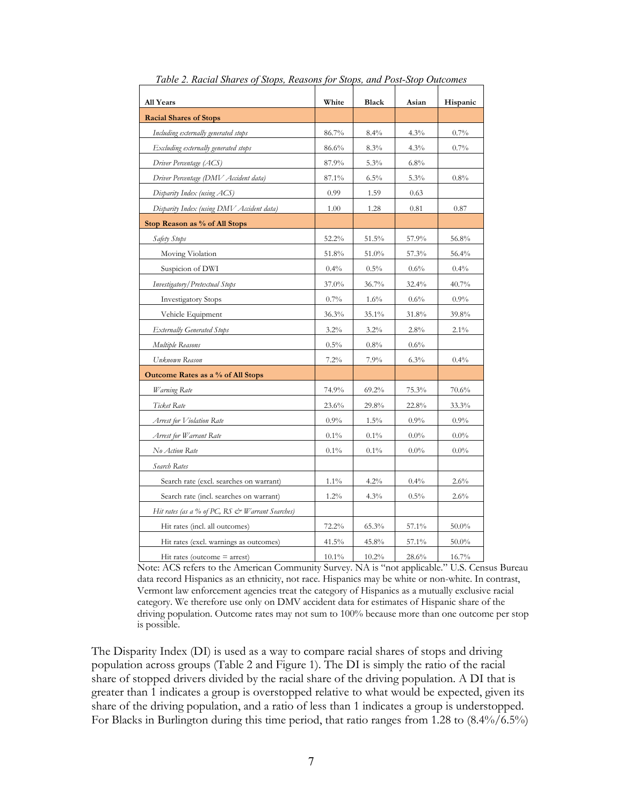| <b>All Years</b>                                | White    | Black   | Asian   | Hispanic |
|-------------------------------------------------|----------|---------|---------|----------|
| <b>Racial Shares of Stops</b>                   |          |         |         |          |
| Including externally generated stops            | 86.7%    | 8.4%    | 4.3%    | 0.7%     |
| Excluding externally generated stops            | 86.6%    | $8.3\%$ | 4.3%    | 0.7%     |
| Driver Percentage (ACS)                         | 87.9%    | 5.3%    | $6.8\%$ |          |
| Driver Percentage (DMV Accident data)           | 87.1%    | 6.5%    | 5.3%    | 0.8%     |
| Disparity Index (using ACS)                     | 0.99     | 1.59    | 0.63    |          |
| Disparity Index (using DMV Accident data)       | 1.00     | 1.28    | 0.81    | 0.87     |
| Stop Reason as % of All Stops                   |          |         |         |          |
| Safety Stops                                    | 52.2%    | 51.5%   | 57.9%   | 56.8%    |
| Moving Violation                                | 51.8%    | 51.0%   | 57.3%   | 56.4%    |
| Suspicion of DWI                                | 0.4%     | $0.5\%$ | 0.6%    | $0.4\%$  |
| Investigatory/Pretextual Stops                  | 37.0%    | 36.7%   | 32.4%   | 40.7%    |
| <b>Investigatory Stops</b>                      | 0.7%     | $1.6\%$ | 0.6%    | 0.9%     |
| Vehicle Equipment                               | 36.3%    | 35.1%   | 31.8%   | 39.8%    |
| <b>Externally Generated Stops</b>               | 3.2%     | $3.2\%$ | 2.8%    | 2.1%     |
| Multiple Reasons                                | $0.5\%$  | $0.8\%$ | 0.6%    |          |
| Unknown Reason                                  | 7.2%     | 7.9%    | 6.3%    | 0.4%     |
| Outcome Rates as a % of All Stops               |          |         |         |          |
| <i>Warning</i> Rate                             | 74.9%    | 69.2%   | 75.3%   | $70.6\%$ |
| Ticket Rate                                     | 23.6%    | 29.8%   | 22.8%   | 33.3%    |
| Arrest for Violation Rate                       | 0.9%     | $1.5\%$ | 0.9%    | $0.9\%$  |
| Arrest for Warrant Rate                         | $0.1\%$  | $0.1\%$ | $0.0\%$ | $0.0\%$  |
| No Action Rate                                  | $0.1\%$  | $0.1\%$ | $0.0\%$ | $0.0\%$  |
| Search Rates                                    |          |         |         |          |
| Search rate (excl. searches on warrant)         | $1.1\%$  | 4.2%    | 0.4%    | 2.6%     |
| Search rate (incl. searches on warrant)         | $1.2\%$  | 4.3%    | 0.5%    | 2.6%     |
| Hit rates (as a % of PC, RS & Warrant Searches) |          |         |         |          |
| Hit rates (incl. all outcomes)                  | 72.2%    | 65.3%   | 57.1%   | $50.0\%$ |
| Hit rates (excl. warnings as outcomes)          | 41.5%    | 45.8%   | 57.1%   | 50.0%    |
| Hit rates (outcome $=$ arrest)                  | $10.1\%$ | 10.2%   | 28.6%   | 16.7%    |

*Table 2. Racial Shares of Stops, Reasons for Stops, and Post-Stop Outcomes* 

 Note: ACS refers to the American Community Survey. NA is "not applicable." U.S. Census Bureau data record Hispanics as an ethnicity, not race. Hispanics may be white or non-white. In contrast, Vermont law enforcement agencies treat the category of Hispanics as a mutually exclusive racial category. We therefore use only on DMV accident data for estimates of Hispanic share of the driving population. Outcome rates may not sum to 100% because more than one outcome per stop is possible.

 The Disparity Index (DI) is used as a way to compare racial shares of stops and driving population across groups (Table 2 and Figure 1). The DI is simply the ratio of the racial share of stopped drivers divided by the racial share of the driving population. A DI that is For Blacks in Burlington during this time period, that ratio ranges from 1.28 to (8.4%/6.5%) greater than 1 indicates a group is overstopped relative to what would be expected, given its share of the driving population, and a ratio of less than 1 indicates a group is understopped.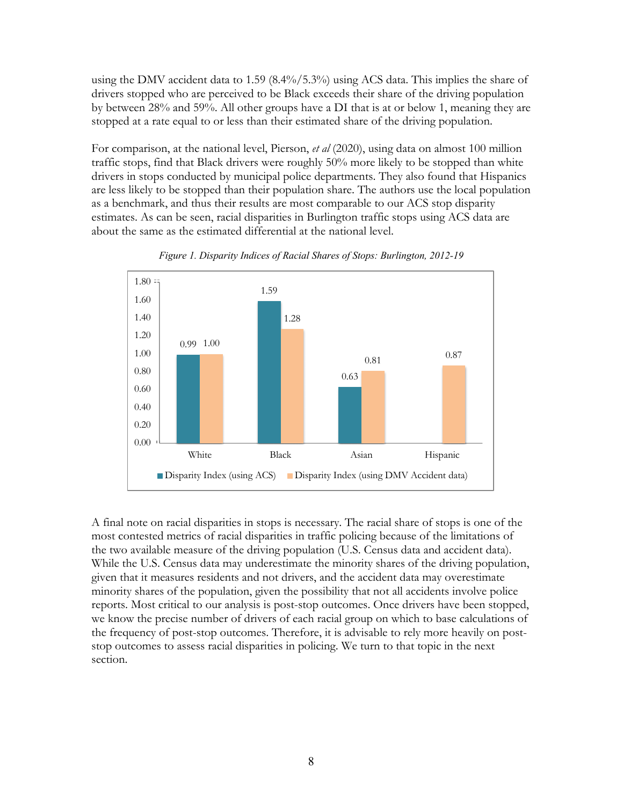<span id="page-11-0"></span> using the DMV accident data to 1.59 (8.4%/5.3%) using ACS data. This implies the share of stopped at a rate equal to or less than their estimated share of the driving population. drivers stopped who are perceived to be Black exceeds their share of the driving population by between 28% and 59%. All other groups have a DI that is at or below 1, meaning they are

 For comparison, at the national level, Pierson, *et al* (2020), using data on almost 100 million estimates. As can be seen, racial disparities in Burlington traffic stops using ACS data are traffic stops, find that Black drivers were roughly 50% more likely to be stopped than white drivers in stops conducted by municipal police departments. They also found that Hispanics are less likely to be stopped than their population share. The authors use the local population as a benchmark, and thus their results are most comparable to our ACS stop disparity about the same as the estimated differential at the national level.



*Figure 1. Disparity Indices of Racial Shares of Stops: Burlington, 2012-19* 

 most contested metrics of racial disparities in traffic policing because of the limitations of While the U.S. Census data may underestimate the minority shares of the driving population, A final note on racial disparities in stops is necessary. The racial share of stops is one of the the two available measure of the driving population (U.S. Census data and accident data). given that it measures residents and not drivers, and the accident data may overestimate minority shares of the population, given the possibility that not all accidents involve police reports. Most critical to our analysis is post-stop outcomes. Once drivers have been stopped, we know the precise number of drivers of each racial group on which to base calculations of the frequency of post-stop outcomes. Therefore, it is advisable to rely more heavily on poststop outcomes to assess racial disparities in policing. We turn to that topic in the next section.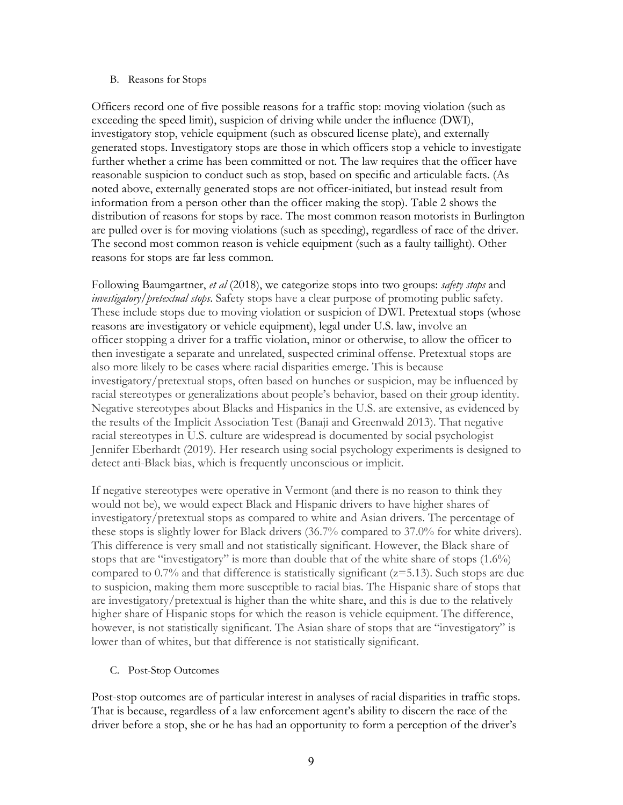### <span id="page-12-0"></span>B. Reasons for Stops

 Officers record one of five possible reasons for a traffic stop: moving violation (such as information from a person other than the officer making the stop). Table 2 shows the distribution of reasons for stops by race. The most common reason motorists in Burlington The second most common reason is vehicle equipment (such as a faulty taillight). Other exceeding the speed limit), suspicion of driving while under the influence (DWI), investigatory stop, vehicle equipment (such as obscured license plate), and externally generated stops. Investigatory stops are those in which officers stop a vehicle to investigate further whether a crime has been committed or not. The law requires that the officer have reasonable suspicion to conduct such as stop, based on specific and articulable facts. (As noted above, externally generated stops are not officer-initiated, but instead result from are pulled over is for moving violations (such as speeding), regardless of race of the driver.

 reasons for stops are far less common. Following Baumgartner, *et al* (2018), we categorize stops into two groups: *safety stops* and officer stopping a driver for a traffic violation, minor or otherwise, to allow the officer to detect anti-Black bias, which is frequently unconscious or implicit. *investigatory/pretextual stops*. Safety stops have a clear purpose of promoting public safety. These include stops due to moving violation or suspicion of DWI. Pretextual stops (whose reasons are investigatory or vehicle equipment), legal under U.S. law, involve an then investigate a separate and unrelated, suspected criminal offense. Pretextual stops are also more likely to be cases where racial disparities emerge. This is because investigatory/pretextual stops, often based on hunches or suspicion, may be influenced by racial stereotypes or generalizations about people's behavior, based on their group identity. Negative stereotypes about Blacks and Hispanics in the U.S. are extensive, as evidenced by the results of the Implicit Association Test (Banaji and Greenwald 2013). That negative racial stereotypes in U.S. culture are widespread is documented by social psychologist Jennifer Eberhardt (2019). Her research using social psychology experiments is designed to

 investigatory/pretextual stops as compared to white and Asian drivers. The percentage of these stops is slightly lower for Black drivers (36.7% compared to 37.0% for white drivers). stops that are "investigatory" is more than double that of the white share of stops (1.6%) however, is not statistically significant. The Asian share of stops that are "investigatory" is If negative stereotypes were operative in Vermont (and there is no reason to think they would not be), we would expect Black and Hispanic drivers to have higher shares of This difference is very small and not statistically significant. However, the Black share of compared to  $0.7\%$  and that difference is statistically significant ( $z=5.13$ ). Such stops are due to suspicion, making them more susceptible to racial bias. The Hispanic share of stops that are investigatory/pretextual is higher than the white share, and this is due to the relatively higher share of Hispanic stops for which the reason is vehicle equipment. The difference, lower than of whites, but that difference is not statistically significant.

C. Post-Stop Outcomes

Post-stop outcomes are of particular interest in analyses of racial disparities in traffic stops. That is because, regardless of a law enforcement agent's ability to discern the race of the driver before a stop, she or he has had an opportunity to form a perception of the driver's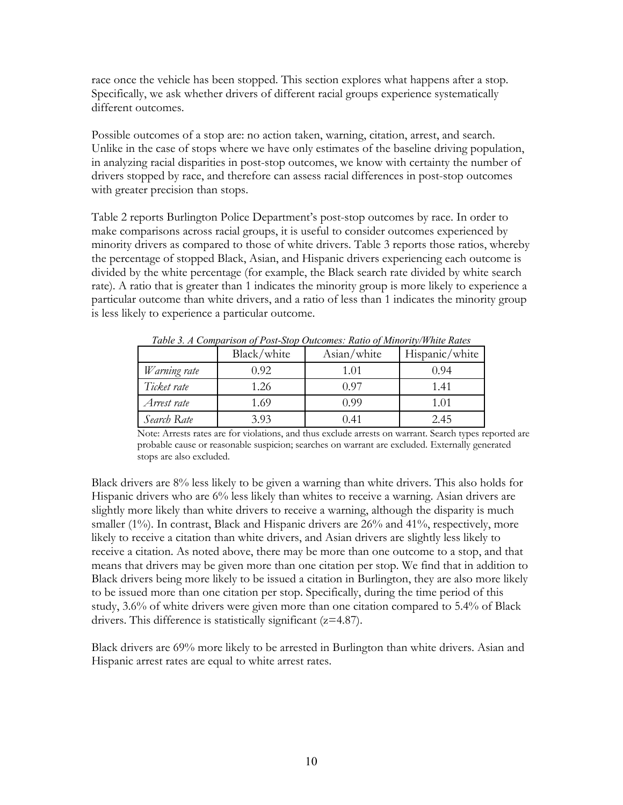race once the vehicle has been stopped. This section explores what happens after a stop. Specifically, we ask whether drivers of different racial groups experience systematically different outcomes.

Possible outcomes of a stop are: no action taken, warning, citation, arrest, and search. in analyzing racial disparities in post-stop outcomes, we know with certainty the number of with greater precision than stops. Unlike in the case of stops where we have only estimates of the baseline driving population, drivers stopped by race, and therefore can assess racial differences in post-stop outcomes

with greater precision than stops.<br>Table 2 reports Burlington Police Department's post-stop outcomes by race. In order to make comparisons across racial groups, it is useful to consider outcomes experienced by minority drivers as compared to those of white drivers. Table 3 reports those ratios, whereby rate). A ratio that is greater than 1 indicates the minority group is more likely to experience a particular outcome than white drivers, and a ratio of less than 1 indicates the minority group is less likely to experience a particular outcome. the percentage of stopped Black, Asian, and Hispanic drivers experiencing each outcome is divided by the white percentage (for example, the Black search rate divided by white search

|              | Black/white | Asian/white | Hispanic/white |
|--------------|-------------|-------------|----------------|
| Warning rate | 0.92        | 1.01        | 0.94           |
| Ticket rate  | 1.26        | 0.97        | 1.41           |
| Arrest rate  | 1.69        | 0.99        | 1.01           |
| Search Rate  | 3.93        | 0.41        | 2.45           |

 *Table 3. A Comparison of Post-Stop Outcomes: Ratio of Minority/White Rates* 

 Note: Arrests rates are for violations, and thus exclude arrests on warrant. Search types reported are probable cause or reasonable suspicion; searches on warrant are excluded. Externally generated stops are also excluded.

 Black drivers are 8% less likely to be given a warning than white drivers. This also holds for Hispanic drivers who are 6% less likely than whites to receive a warning. Asian drivers are slightly more likely than white drivers to receive a warning, although the disparity is much smaller (1%). In contrast, Black and Hispanic drivers are 26% and 41%, respectively, more likely to receive a citation than white drivers, and Asian drivers are slightly less likely to study, 3.6% of white drivers were given more than one citation compared to 5.4% of Black drivers. This difference is statistically significant (z=4.87). receive a citation. As noted above, there may be more than one outcome to a stop, and that means that drivers may be given more than one citation per stop. We find that in addition to Black drivers being more likely to be issued a citation in Burlington, they are also more likely to be issued more than one citation per stop. Specifically, during the time period of this

 Black drivers are 69% more likely to be arrested in Burlington than white drivers. Asian and Hispanic arrest rates are equal to white arrest rates.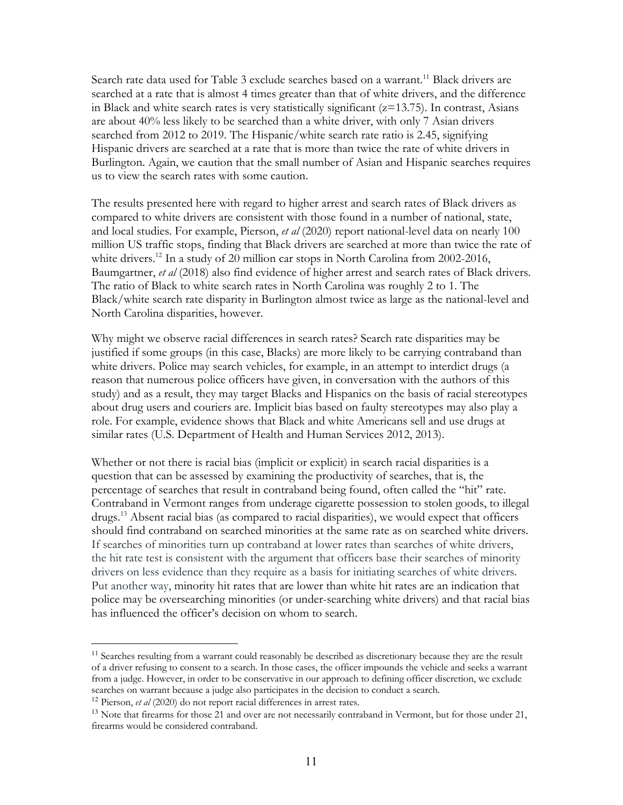searched at a rate that is almost 4 times greater than that of white drivers, and the difference in Black and white search rates is very statistically significant (z=13.75). In contrast, Asians are about 40% less likely to be searched than a white driver, with only 7 Asian drivers searched from 2012 to 2019. The Hispanic/white search rate ratio is 2.45, signifying us to view the search rates with some caution. Search rate data used for Table 3 exclude searches based on a warrant.<sup>11</sup> Black drivers are Hispanic drivers are searched at a rate that is more than twice the rate of white drivers in Burlington. Again, we caution that the small number of Asian and Hispanic searches requires

 compared to white drivers are consistent with those found in a number of national, state, and local studies. For example, Pierson, *et al* (2020) report national-level data on nearly 100 million US traffic stops, finding that Black drivers are searched at more than twice the rate of white drivers.<sup>12</sup> In a study of 20 million car stops in North Carolina from 2002-2016, Baumgartner, *et al* (2018) also find evidence of higher arrest and search rates of Black drivers. Black/white search rate disparity in Burlington almost twice as large as the national-level and The results presented here with regard to higher arrest and search rates of Black drivers as The ratio of Black to white search rates in North Carolina was roughly 2 to 1. The North Carolina disparities, however.

 Why might we observe racial differences in search rates? Search rate disparities may be justified if some groups (in this case, Blacks) are more likely to be carrying contraband than white drivers. Police may search vehicles, for example, in an attempt to interdict drugs (a reason that numerous police officers have given, in conversation with the authors of this study) and as a result, they may target Blacks and Hispanics on the basis of racial stereotypes role. For example, evidence shows that Black and white Americans sell and use drugs at similar rates (U.S. Department of Health and Human Services 2012, 2013). about drug users and couriers are. Implicit bias based on faulty stereotypes may also play a

 similar rates (U.S. Department of Health and Human Services 2012, 2013). Whether or not there is racial bias (implicit or explicit) in search racial disparities is a question that can be assessed by examining the productivity of searches, that is, the should find contraband on searched minorities at the same rate as on searched white drivers. drivers on less evidence than they require as a basis for initiating searches of white drivers. percentage of searches that result in contraband being found, often called the "hit" rate. Contraband in Vermont ranges from underage cigarette possession to stolen goods, to illegal drugs.13 Absent racial bias (as compared to racial disparities), we would expect that officers If searches of minorities turn up contraband at lower rates than searches of white drivers, the hit rate test is consistent with the argument that officers base their searches of minority Put another way, minority hit rates that are lower than white hit rates are an indication that police may be oversearching minorities (or under-searching white drivers) and that racial bias has influenced the officer's decision on whom to search.

<sup>&</sup>lt;sup>11</sup> Searches resulting from a warrant could reasonably be described as discretionary because they are the result of a driver refusing to consent to a search. In those cases, the officer impounds the vehicle and seeks a warrant from a judge. However, in order to be conservative in our approach to defining officer discretion, we exclude searches on warrant because a judge also participates in the decision to conduct a search.

 <sup>12</sup> Pierson, *et al* (2020) do not report racial differences in arrest rates.

<sup>&</sup>lt;sup>13</sup> Note that firearms for those 21 and over are not necessarily contraband in Vermont, but for those under 21, firearms would be considered contraband.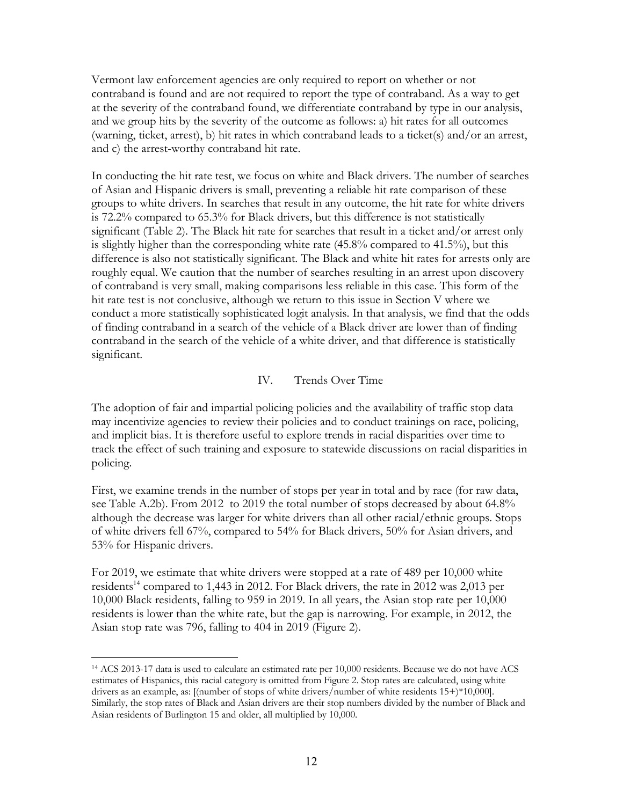<span id="page-15-0"></span> Vermont law enforcement agencies are only required to report on whether or not contraband is found and are not required to report the type of contraband. As a way to get and c) the arrest-worthy contraband hit rate. at the severity of the contraband found, we differentiate contraband by type in our analysis, and we group hits by the severity of the outcome as follows: a) hit rates for all outcomes (warning, ticket, arrest), b) hit rates in which contraband leads to a ticket(s) and/or an arrest,

and c) the arrest-worthy contraband hit rate.<br>In conducting the hit rate test, we focus on white and Black drivers. The number of searches of Asian and Hispanic drivers is small, preventing a reliable hit rate comparison of these is 72.2% compared to 65.3% for Black drivers, but this difference is not statistically difference is also not statistically significant. The Black and white hit rates for arrests only are significant. groups to white drivers. In searches that result in any outcome, the hit rate for white drivers significant (Table 2). The Black hit rate for searches that result in a ticket and/or arrest only is slightly higher than the corresponding white rate (45.8% compared to 41.5%), but this roughly equal. We caution that the number of searches resulting in an arrest upon discovery of contraband is very small, making comparisons less reliable in this case. This form of the hit rate test is not conclusive, although we return to this issue in Section V where we conduct a more statistically sophisticated logit analysis. In that analysis, we find that the odds of finding contraband in a search of the vehicle of a Black driver are lower than of finding contraband in the search of the vehicle of a white driver, and that difference is statistically significant. IV. Trends Over Time

policing. The adoption of fair and impartial policing policies and the availability of traffic stop data may incentivize agencies to review their policies and to conduct trainings on race, policing, and implicit bias. It is therefore useful to explore trends in racial disparities over time to track the effect of such training and exposure to statewide discussions on racial disparities in

 see Table A.2b). From 2012 to 2019 the total number of stops decreased by about 64.8% although the decrease was larger for white drivers than all other racial/ethnic groups. Stops 53% for Hispanic drivers. First, we examine trends in the number of stops per year in total and by race (for raw data, of white drivers fell 67%, compared to 54% for Black drivers, 50% for Asian drivers, and

53% for Hispanic drivers.<br>For 2019, we estimate that white drivers were stopped at a rate of 489 per 10,000 white residents<sup>14</sup> compared to 1,443 in 2012. For Black drivers, the rate in 2012 was 2,013 per 10,000 Black residents, falling to 959 in 2019. In all years, the Asian stop rate per 10,000 residents is lower than the white rate, but the gap is narrowing. For example, in 2012, the Asian stop rate was 796, falling to 404 in 2019 (Figure 2).

 <sup>14</sup> ACS 2013-17 data is used to calculate an estimated rate per 10,000 residents. Because we do not have ACS estimates of Hispanics, this racial category is omitted from Figure 2. Stop rates are calculated, using white drivers as an example, as: [(number of stops of white drivers/number of white residents 15+)\*10,000]. Similarly, the stop rates of Black and Asian drivers are their stop numbers divided by the number of Black and Asian residents of Burlington 15 and older, all multiplied by 10,000.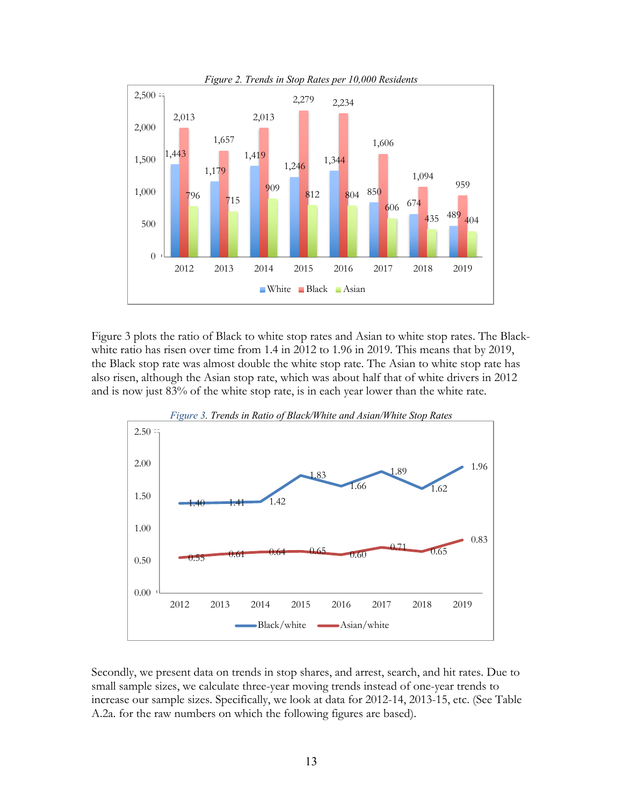<span id="page-16-0"></span>

 Figure 3 plots the ratio of Black to white stop rates and Asian to white stop rates. The Black- white ratio has risen over time from 1.4 in 2012 to 1.96 in 2019. This means that by 2019, also risen, although the Asian stop rate, which was about half that of white drivers in 2012 the Black stop rate was almost double the white stop rate. The Asian to white stop rate has and is now just 83% of the white stop rate, is in each year lower than the white rate.



Secondly, we present data on trends in stop shares, and arrest, search, and hit rates. Due to small sample sizes, we calculate three-year moving trends instead of one-year trends to increase our sample sizes. Specifically, we look at data for 2012-14, 2013-15, etc. (See Table A.2a. for the raw numbers on which the following figures are based).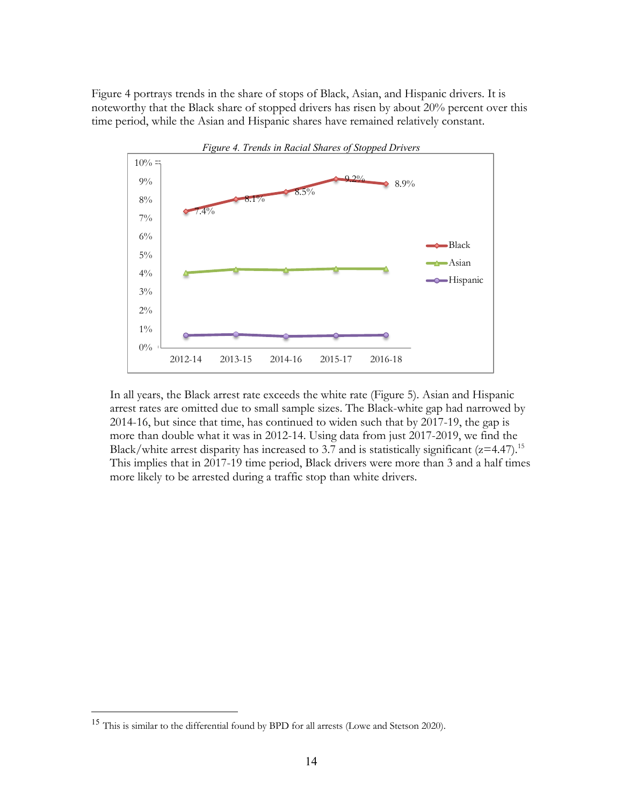<span id="page-17-0"></span> Figure 4 portrays trends in the share of stops of Black, Asian, and Hispanic drivers. It is noteworthy that the Black share of stopped drivers has risen by about 20% percent over this time period, while the Asian and Hispanic shares have remained relatively constant.



 In all years, the Black arrest rate exceeds the white rate (Figure 5). Asian and Hispanic more than double what it was in 2012-14. Using data from just 2017-2019, we find the arrest rates are omitted due to small sample sizes. The Black-white gap had narrowed by 2014-16, but since that time, has continued to widen such that by 2017-19, the gap is Black/white arrest disparity has increased to 3.7 and is statistically significant  $(z=4.47)$ .<sup>15</sup> This implies that in 2017-19 time period, Black drivers were more than 3 and a half times more likely to be arrested during a traffic stop than white drivers.

<sup>&</sup>lt;sup>15</sup> This is similar to the differential found by BPD for all arrests (Lowe and Stetson 2020).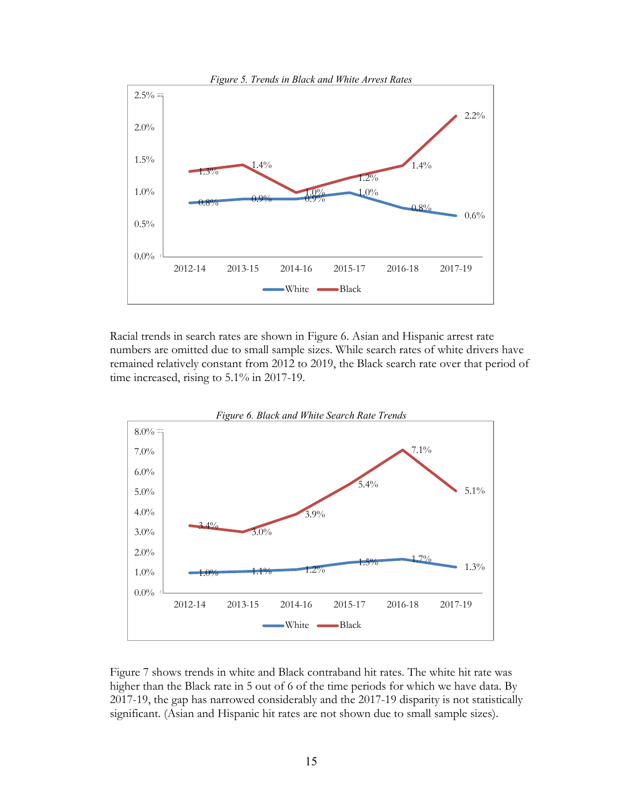

Racial trends in search rates are shown in Figure 6. Asian and Hispanic arrest rate numbers are omitted due to small sample sizes. While search rates of white drivers have remained relatively constant from 2012 to 2019, the Black search rate over that period of time increased, rising to 5.1% in 2017-19.



 Figure 7 shows trends in white and Black contraband hit rates. The white hit rate was higher than the Black rate in 5 out of 6 of the time periods for which we have data. By significant. (Asian and Hispanic hit rates are not shown due to small sample sizes). 2017-19, the gap has narrowed considerably and the 2017-19 disparity is not statistically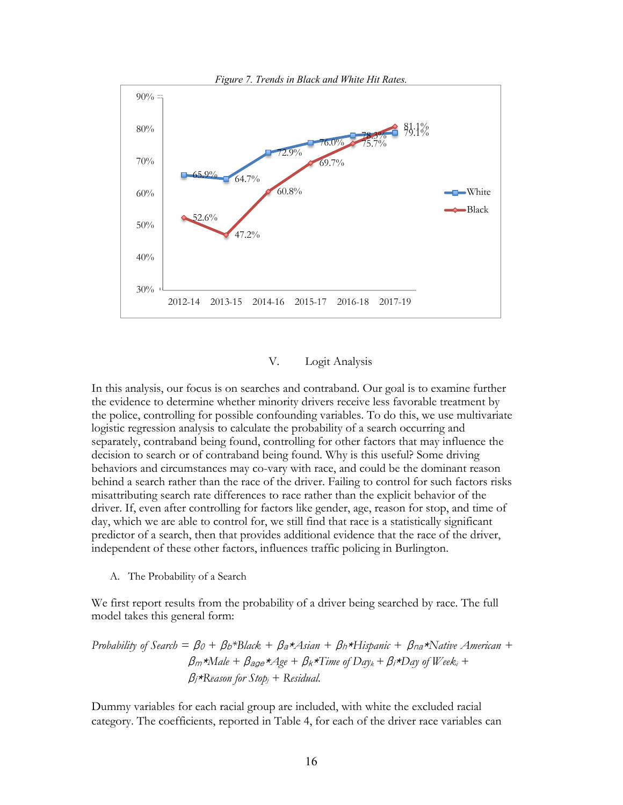<span id="page-19-0"></span>

### V. Logit Analysis

 the police, controlling for possible confounding variables. To do this, we use multivariate independent of these other factors, influences traffic policing in Burlington. In this analysis, our focus is on searches and contraband. Our goal is to examine further the evidence to determine whether minority drivers receive less favorable treatment by logistic regression analysis to calculate the probability of a search occurring and separately, contraband being found, controlling for other factors that may influence the decision to search or of contraband being found. Why is this useful? Some driving behaviors and circumstances may co-vary with race, and could be the dominant reason behind a search rather than the race of the driver. Failing to control for such factors risks misattributing search rate differences to race rather than the explicit behavior of the driver. If, even after controlling for factors like gender, age, reason for stop, and time of day, which we are able to control for, we still find that race is a statistically significant predictor of a search, then that provides additional evidence that the race of the driver,

A. The Probability of a Search

 We first report results from the probability of a driver being searched by race. The full model takes this general form:

Probability of Search = 
$$
\beta_0 + \beta_b * \text{Black} + \beta_a * A \sin + \beta_h * \text{Hispanic} + \beta_{na} * \text{Native American} + \beta_m * \text{Male} + \beta_{age} * A \text{ge} + \beta_k * \text{Time of Day}_k + \beta_i * \text{Day of Week}_i + \beta_j * \text{Reason for Stop}_j + \text{Residual}.
$$

Dummy variables for each racial group are included, with white the excluded racial category. The coefficients, reported in Table 4, for each of the driver race variables can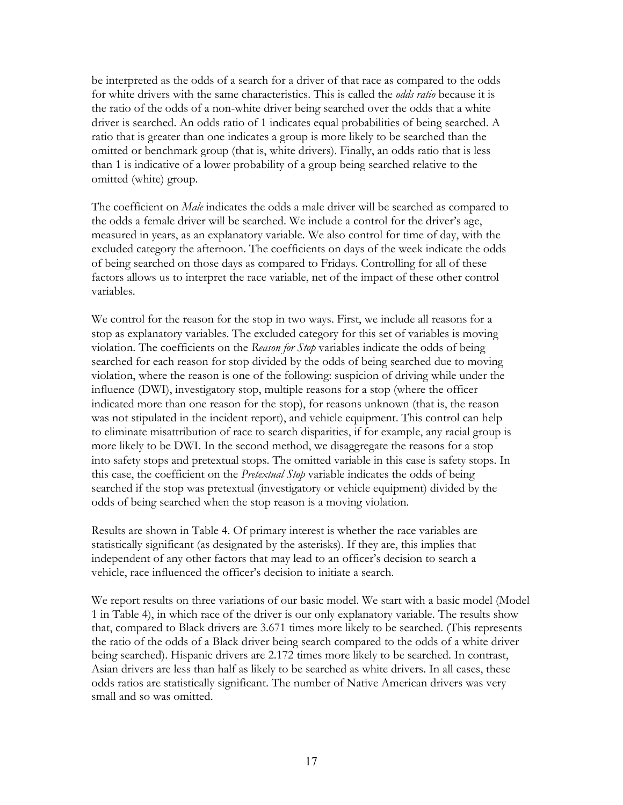the ratio of the odds of a non-white driver being searched over the odds that a white omitted (white) group. be interpreted as the odds of a search for a driver of that race as compared to the odds for white drivers with the same characteristics. This is called the *odds ratio* because it is driver is searched. An odds ratio of 1 indicates equal probabilities of being searched. A ratio that is greater than one indicates a group is more likely to be searched than the omitted or benchmark group (that is, white drivers). Finally, an odds ratio that is less than 1 is indicative of a lower probability of a group being searched relative to the

 The coefficient on *Male* indicates the odds a male driver will be searched as compared to variables. the odds a female driver will be searched. We include a control for the driver's age, measured in years, as an explanatory variable. We also control for time of day, with the excluded category the afternoon. The coefficients on days of the week indicate the odds of being searched on those days as compared to Fridays. Controlling for all of these factors allows us to interpret the race variable, net of the impact of these other control

odds of being searched when the stop reason is a moving violation. We control for the reason for the stop in two ways. First, we include all reasons for a stop as explanatory variables. The excluded category for this set of variables is moving violation. The coefficients on the *Reason for Stop* variables indicate the odds of being searched for each reason for stop divided by the odds of being searched due to moving violation, where the reason is one of the following: suspicion of driving while under the influence (DWI), investigatory stop, multiple reasons for a stop (where the officer indicated more than one reason for the stop), for reasons unknown (that is, the reason was not stipulated in the incident report), and vehicle equipment. This control can help to eliminate misattribution of race to search disparities, if for example, any racial group is more likely to be DWI. In the second method, we disaggregate the reasons for a stop into safety stops and pretextual stops. The omitted variable in this case is safety stops. In this case, the coefficient on the *Pretextual Stop* variable indicates the odds of being searched if the stop was pretextual (investigatory or vehicle equipment) divided by the

 vehicle, race influenced the officer's decision to initiate a search. Results are shown in Table 4. Of primary interest is whether the race variables are statistically significant (as designated by the asterisks). If they are, this implies that independent of any other factors that may lead to an officer's decision to search a

 being searched). Hispanic drivers are 2.172 times more likely to be searched. In contrast, odds ratios are statistically significant. The number of Native American drivers was very small and so was omitted. We report results on three variations of our basic model. We start with a basic model (Model 1 in Table 4), in which race of the driver is our only explanatory variable. The results show that, compared to Black drivers are 3.671 times more likely to be searched. (This represents the ratio of the odds of a Black driver being search compared to the odds of a white driver Asian drivers are less than half as likely to be searched as white drivers. In all cases, these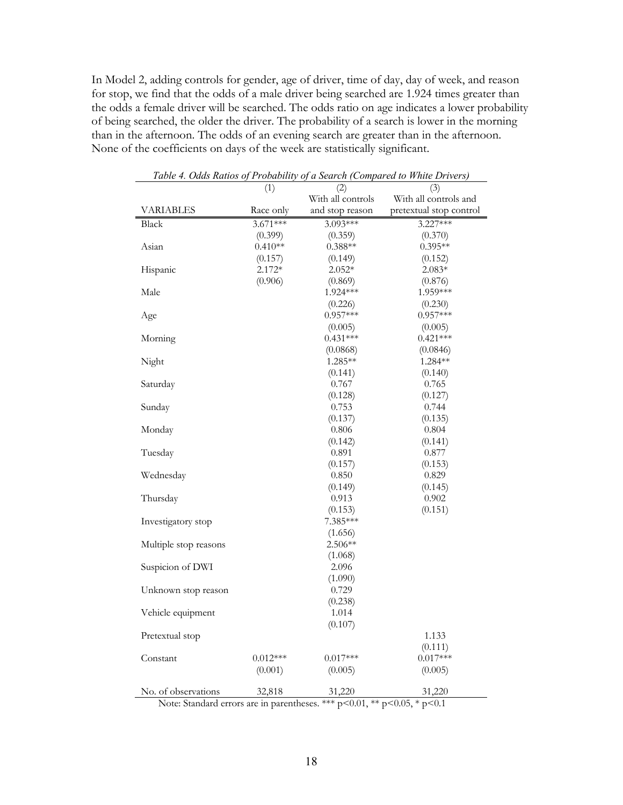of being searched, the older the driver. The probability of a search is lower in the morning None of the coefficients on days of the week are statistically significant. In Model 2, adding controls for gender, age of driver, time of day, day of week, and reason for stop, we find that the odds of a male driver being searched are 1.924 times greater than the odds a female driver will be searched. The odds ratio on age indicates a lower probability than in the afternoon. The odds of an evening search are greater than in the afternoon.

|                       | (1)<br>(2) |                   | (3)                     |  |  |
|-----------------------|------------|-------------------|-------------------------|--|--|
|                       |            | With all controls | With all controls and   |  |  |
| VARIABLES             | Race only  | and stop reason   | pretextual stop control |  |  |
| Black                 | $3.671***$ | 3.093***          | $3.227***$              |  |  |
|                       | (0.399)    | (0.359)           | (0.370)                 |  |  |
| Asian                 | $0.410**$  | $0.388**$         | $0.395**$               |  |  |
|                       | (0.157)    | (0.149)           | (0.152)                 |  |  |
| Hispanic              | $2.172*$   | $2.052*$          | $2.083*$                |  |  |
|                       | (0.906)    | (0.869)           | (0.876)                 |  |  |
| Male                  |            | 1.924 ***         | 1.959***                |  |  |
|                       |            | (0.226)           | (0.230)                 |  |  |
| Age                   |            | $0.957***$        | $0.957***$              |  |  |
|                       |            | (0.005)           | (0.005)                 |  |  |
| Morning               |            | $0.431***$        | $0.421***$              |  |  |
|                       |            | (0.0868)          | (0.0846)                |  |  |
| Night                 |            | $1.285**$         | $1.284**$               |  |  |
|                       |            | (0.141)           | (0.140)                 |  |  |
| Saturday              |            | 0.767             | 0.765                   |  |  |
|                       |            | (0.128)           | (0.127)                 |  |  |
| Sunday                |            | 0.753             | 0.744                   |  |  |
|                       |            | (0.137)           | (0.135)                 |  |  |
| Monday                |            | 0.806             | 0.804                   |  |  |
|                       |            | (0.142)           | (0.141)                 |  |  |
| Tuesday               |            | 0.891             | 0.877                   |  |  |
| Wednesday             |            | (0.157)<br>0.850  | (0.153)                 |  |  |
|                       |            | (0.149)           | 0.829<br>(0.145)        |  |  |
| Thursday              |            | 0.913             | 0.902                   |  |  |
|                       |            | (0.153)           | (0.151)                 |  |  |
| Investigatory stop    |            | 7.385***          |                         |  |  |
|                       |            | (1.656)           |                         |  |  |
| Multiple stop reasons |            | $2.506**$         |                         |  |  |
|                       |            | (1.068)           |                         |  |  |
| Suspicion of DWI      |            | 2.096             |                         |  |  |
|                       |            | (1.090)           |                         |  |  |
| Unknown stop reason   |            | 0.729             |                         |  |  |
|                       |            | (0.238)           |                         |  |  |
| Vehicle equipment     |            | 1.014             |                         |  |  |
|                       |            | (0.107)           |                         |  |  |
| Pretextual stop       |            |                   | 1.133                   |  |  |
|                       |            |                   | (0.111)                 |  |  |
| Constant              | $0.012***$ | $0.017***$        | $0.017***$              |  |  |
|                       | (0.001)    | (0.005)           | (0.005)                 |  |  |
|                       |            |                   |                         |  |  |
| No. of observations   | 32,818     | 31,220            | 31,220                  |  |  |

*Table 4. Odds Ratios of Probability of a Search (Compared to White Drivers)* 

Note: Standard errors are in parentheses. \*\*\* p<0.01, \*\* p<0.05, \* p<0.1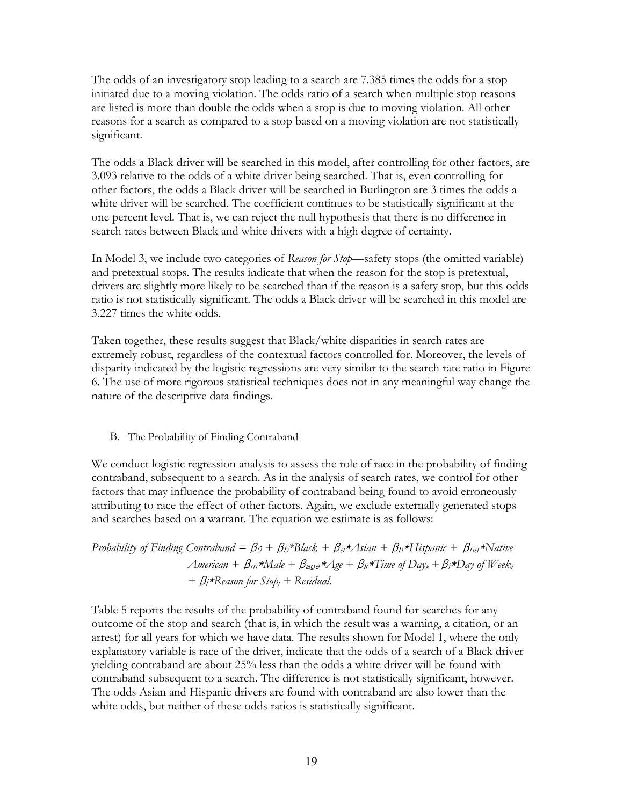<span id="page-22-0"></span> The odds of an investigatory stop leading to a search are 7.385 times the odds for a stop initiated due to a moving violation. The odds ratio of a search when multiple stop reasons are listed is more than double the odds when a stop is due to moving violation. All other reasons for a search as compared to a stop based on a moving violation are not statistically significant.

 other factors, the odds a Black driver will be searched in Burlington are 3 times the odds a search rates between Black and white drivers with a high degree of certainty. The odds a Black driver will be searched in this model, after controlling for other factors, are 3.093 relative to the odds of a white driver being searched. That is, even controlling for white driver will be searched. The coefficient continues to be statistically significant at the one percent level. That is, we can reject the null hypothesis that there is no difference in

 drivers are slightly more likely to be searched than if the reason is a safety stop, but this odds ratio is not statistically significant. The odds a Black driver will be searched in this model are 3.227 times the white odds. In Model 3, we include two categories of *Reason for Stop*—safety stops (the omitted variable) and pretextual stops. The results indicate that when the reason for the stop is pretextual,

 nature of the descriptive data findings. B. The Probability of Finding Contraband Taken together, these results suggest that Black/white disparities in search rates are extremely robust, regardless of the contextual factors controlled for. Moreover, the levels of disparity indicated by the logistic regressions are very similar to the search rate ratio in Figure 6. The use of more rigorous statistical techniques does not in any meaningful way change the

### B. The Probability of Finding Contraband

We conduct logistic regression analysis to assess the role of race in the probability of finding contraband, subsequent to a search. As in the analysis of search rates, we control for other factors that may influence the probability of contraband being found to avoid erroneously attributing to race the effect of other factors. Again, we exclude externally generated stops and searches based on a warrant. The equation we estimate is as follows:

Probability of Finding Contraband = 
$$
\beta_0 + \beta_b * Black + \beta_a * A sian + \beta_h * Hispanic + \beta_{na} * Native
$$
  
American +  $\beta_m * Male + \beta_{age} * Age + \beta_k * Time$  of Day<sub>k</sub> +  $\beta_i * Day$  of Week<sub>i</sub>  
+  $\beta_j * Reason$  for Stop<sub>j</sub> + Residual.

 Table 5 reports the results of the probability of contraband found for searches for any contraband subsequent to a search. The difference is not statistically significant, however. white odds, but neither of these odds ratios is statistically significant. outcome of the stop and search (that is, in which the result was a warning, a citation, or an arrest) for all years for which we have data. The results shown for Model 1, where the only explanatory variable is race of the driver, indicate that the odds of a search of a Black driver yielding contraband are about 25% less than the odds a white driver will be found with The odds Asian and Hispanic drivers are found with contraband are also lower than the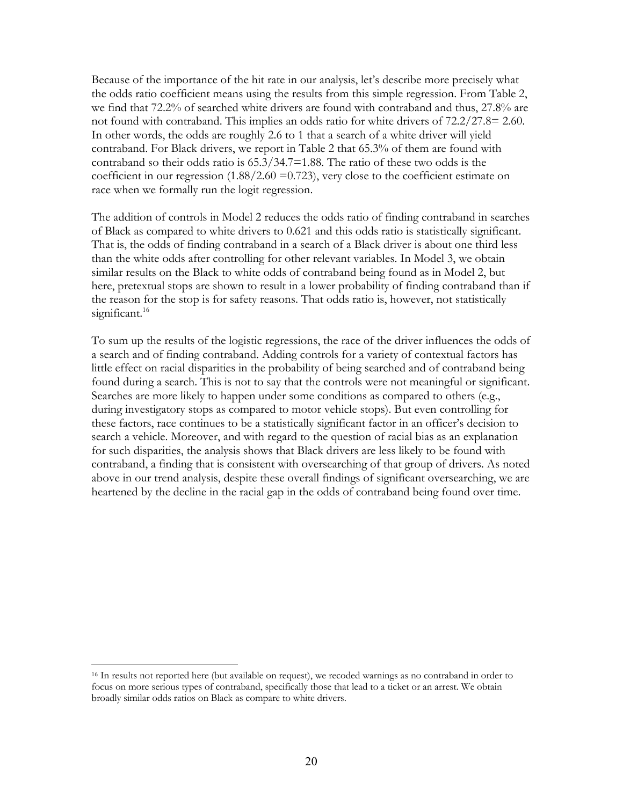we find that 72.2% of searched white drivers are found with contraband and thus, 27.8% are not found with contraband. This implies an odds ratio for white drivers of 72.2/27.8= 2.60. In other words, the odds are roughly 2.6 to 1 that a search of a white driver will yield In other words, the odds are roughly 2.6 to 1 that a search of a white driver will yield contraband. For Black drivers, we report in Table 2 that 65.3% of them are found with race when we formally run the logit regression. Because of the importance of the hit rate in our analysis, let's describe more precisely what the odds ratio coefficient means using the results from this simple regression. From Table 2, contraband so their odds ratio is 65.3/34.7=1.88. The ratio of these two odds is the coefficient in our regression  $(1.88/2.60 = 0.723)$ , very close to the coefficient estimate on

 race when we formally run the logit regression. The addition of controls in Model 2 reduces the odds ratio of finding contraband in searches of Black as compared to white drivers to 0.621 and this odds ratio is statistically significant. That is, the odds of finding contraband in a search of a Black driver is about one third less here, pretextual stops are shown to result in a lower probability of finding contraband than if significant.<sup>16</sup> than the white odds after controlling for other relevant variables. In Model 3, we obtain similar results on the Black to white odds of contraband being found as in Model 2, but the reason for the stop is for safety reasons. That odds ratio is, however, not statistically

heartened by the decline in the racial gap in the odds of contraband being found over time. To sum up the results of the logistic regressions, the race of the driver influences the odds of a search and of finding contraband. Adding controls for a variety of contextual factors has little effect on racial disparities in the probability of being searched and of contraband being found during a search. This is not to say that the controls were not meaningful or significant. Searches are more likely to happen under some conditions as compared to others (e.g., during investigatory stops as compared to motor vehicle stops). But even controlling for these factors, race continues to be a statistically significant factor in an officer's decision to search a vehicle. Moreover, and with regard to the question of racial bias as an explanation for such disparities, the analysis shows that Black drivers are less likely to be found with contraband, a finding that is consistent with oversearching of that group of drivers. As noted above in our trend analysis, despite these overall findings of significant oversearching, we are heartened by the decline in the racial gap in the odds of contraband being found over time.<br>16 In results not reported here (but available on request), we recoded warnings as no contraband in order to

 focus on more serious types of contraband, specifically those that lead to a ticket or an arrest. We obtain broadly similar odds ratios on Black as compare to white drivers.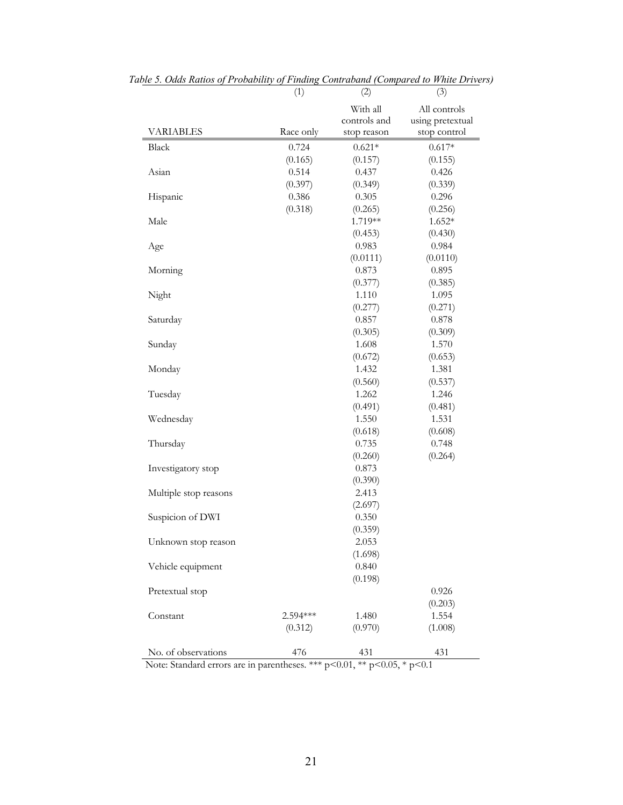|                       | (1)       | (2)                      | (3)                              |
|-----------------------|-----------|--------------------------|----------------------------------|
|                       |           | With all<br>controls and | All controls<br>using pretextual |
| <b>VARIABLES</b>      | Race only | stop reason              | stop control                     |
| Black                 | 0.724     | $0.621*$                 | $0.617*$                         |
|                       | (0.165)   | (0.157)                  | (0.155)                          |
| Asian                 | 0.514     | 0.437                    | 0.426                            |
|                       | (0.397)   | (0.349)                  | (0.339)                          |
| Hispanic              | 0.386     | 0.305                    | 0.296                            |
|                       | (0.318)   | (0.265)                  | (0.256)                          |
| Male                  |           | 1.719**                  | $1.652*$                         |
|                       |           | (0.453)                  | (0.430)                          |
| Age                   |           | 0.983                    | 0.984                            |
|                       |           | (0.0111)<br>0.873        | (0.0110)<br>0.895                |
| Morning               |           |                          |                                  |
|                       |           | (0.377)<br>1.110         | (0.385)<br>1.095                 |
| Night                 |           | (0.277)                  | (0.271)                          |
| Saturday              |           | 0.857                    | 0.878                            |
|                       |           | (0.305)                  | (0.309)                          |
| Sunday                |           | 1.608                    | 1.570                            |
|                       |           | (0.672)                  | (0.653)                          |
| Monday                |           | 1.432                    | 1.381                            |
|                       |           | (0.560)                  | (0.537)                          |
| Tuesday               |           | 1.262                    | 1.246                            |
|                       |           | (0.491)                  | (0.481)                          |
| Wednesday             |           | 1.550                    | 1.531                            |
|                       |           | (0.618)                  | (0.608)                          |
| Thursday              |           | 0.735                    | 0.748                            |
|                       |           | (0.260)                  | (0.264)                          |
| Investigatory stop    |           | 0.873                    |                                  |
|                       |           | (0.390)                  |                                  |
| Multiple stop reasons |           | 2.413                    |                                  |
|                       |           | (2.697)                  |                                  |
| Suspicion of DWI      |           | 0.350                    |                                  |
|                       |           | (0.359)                  |                                  |
| Unknown stop reason   |           | 2.053                    |                                  |
|                       |           | (1.698)                  |                                  |
| Vehicle equipment     |           | 0.840                    |                                  |
|                       |           | (0.198)                  |                                  |
| Pretextual stop       |           |                          | 0.926                            |
|                       |           |                          | (0.203)                          |
| Constant              | 2.594***  | 1.480                    | 1.554                            |
|                       | (0.312)   | (0.970)                  | (1.008)                          |
|                       |           |                          |                                  |
| No. of observations   | 476       | 431                      | 431                              |

*Table 5. Odds Ratios of Probability of Finding Contraband (Compared to White Drivers)* 

Note: Standard errors are in parentheses. \*\*\* p<0.01, \*\* p<0.05, \* p<0.1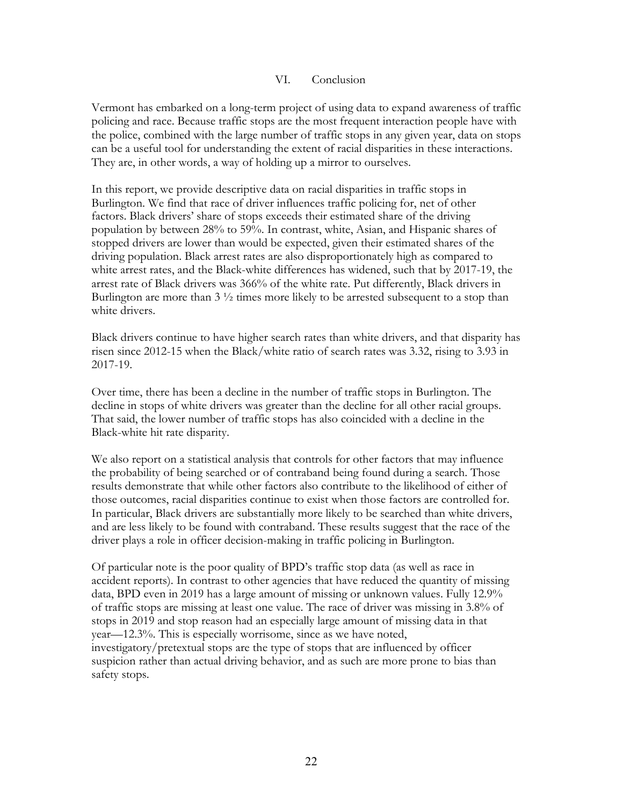### VI. Conclusion

<span id="page-25-0"></span>They are, in other words, a way of holding up a mirror to ourselves. Vermont has embarked on a long-term project of using data to expand awareness of traffic policing and race. Because traffic stops are the most frequent interaction people have with the police, combined with the large number of traffic stops in any given year, data on stops can be a useful tool for understanding the extent of racial disparities in these interactions.

 They are, in other words, a way of holding up a mirror to ourselves. In this report, we provide descriptive data on racial disparities in traffic stops in population by between 28% to 59%. In contrast, white, Asian, and Hispanic shares of white drivers. Burlington. We find that race of driver influences traffic policing for, net of other factors. Black drivers' share of stops exceeds their estimated share of the driving stopped drivers are lower than would be expected, given their estimated shares of the driving population. Black arrest rates are also disproportionately high as compared to white arrest rates, and the Black-white differences has widened, such that by 2017-19, the arrest rate of Black drivers was 366% of the white rate. Put differently, Black drivers in Burlington are more than  $3\frac{1}{2}$  times more likely to be arrested subsequent to a stop than

Black drivers continue to have higher search rates than white drivers, and that disparity has risen since 2012-15 when the Black/white ratio of search rates was 3.32, rising to 3.93 in 2017-19.

 Over time, there has been a decline in the number of traffic stops in Burlington. The Black-white hit rate disparity. decline in stops of white drivers was greater than the decline for all other racial groups. That said, the lower number of traffic stops has also coincided with a decline in the

driver plays a role in officer decision-making in traffic policing in Burlington. We also report on a statistical analysis that controls for other factors that may influence the probability of being searched or of contraband being found during a search. Those results demonstrate that while other factors also contribute to the likelihood of either of those outcomes, racial disparities continue to exist when those factors are controlled for. In particular, Black drivers are substantially more likely to be searched than white drivers, and are less likely to be found with contraband. These results suggest that the race of the

 of traffic stops are missing at least one value. The race of driver was missing in 3.8% of stops in 2019 and stop reason had an especially large amount of missing data in that safety stops. Of particular note is the poor quality of BPD's traffic stop data (as well as race in accident reports). In contrast to other agencies that have reduced the quantity of missing data, BPD even in 2019 has a large amount of missing or unknown values. Fully 12.9% year—12.3%. This is especially worrisome, since as we have noted, investigatory/pretextual stops are the type of stops that are influenced by officer suspicion rather than actual driving behavior, and as such are more prone to bias than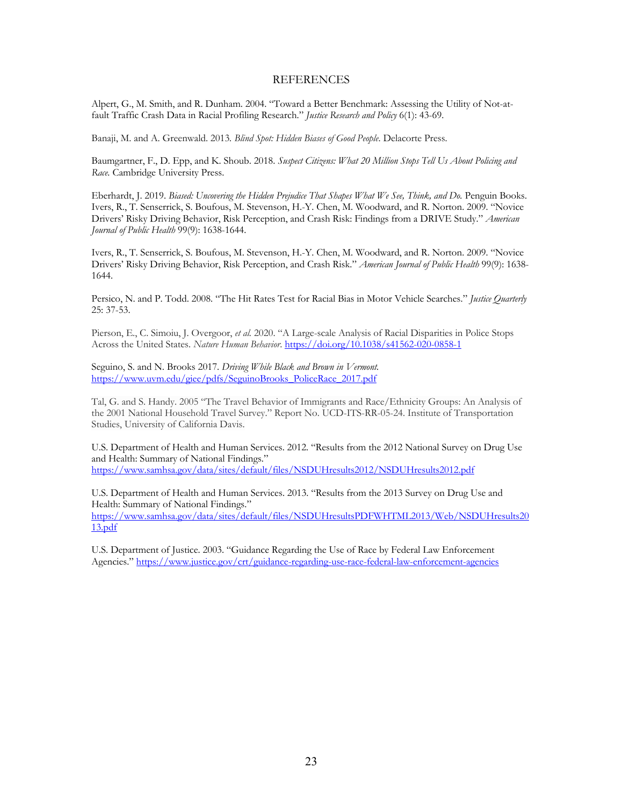### **REFERENCES**

<span id="page-26-0"></span> Alpert, G., M. Smith, and R. Dunham. 2004. "Toward a Better Benchmark: Assessing the Utility of Not-at-fault Traffic Crash Data in Racial Profiling Research." *Justice Research and Policy* 6(1): 43-69.

Banaji, M. and A. Greenwald. 2013*. Blind Spot: Hidden Biases of Good People*. Delacorte Press.

 Baumgartner, F., D. Epp, and K. Shoub. 2018. *Suspect Citizens: What 20 Million Stops Tell Us About Policing and Race.* Cambridge University Press.

Eberhardt, J. 2019. *Biased: Uncovering the Hidden Prejudice That Shapes What We See, Think, and Do. Penguin Books.*  Ivers, R., T. Senserrick, S. Boufous, M. Stevenson, H.-Y. Chen, M. Woodward, and R. Norton. 2009. "Novice Drivers' Risky Driving Behavior, Risk Perception, and Crash Risk: Findings from a DRIVE Study." *American Journal of Public Health* 99(9): 1638-1644.

 Ivers, R., T. Senserrick, S. Boufous, M. Stevenson, H.-Y. Chen, M. Woodward, and R. Norton. 2009. "Novice Drivers' Risky Driving Behavior, Risk Perception, and Crash Risk." *American Journal of Public Health* 99(9): 1638- 1644.

 Persico, N. and P. Todd. 2008. "The Hit Rates Test for Racial Bias in Motor Vehicle Searches." *Justice Quarterly*  25: 37-53.

 Pierson, E., C. Simoiu, J. Overgoor, *et al.* 2020. "A Large-scale Analysis of Racial Disparities in Police Stops Across the United States. *Nature Human Behavior*. https://doi.org/10.1038/s41562-020-0858-1

 Seguino, S. and N. Brooks 2017. *Driving While Black and Brown in Vermont.*  https://www.uvm.edu/giee/pdfs/SeguinoBrooks\_PoliceRace\_2017.pdf

 Tal, G. and S. Handy. 2005 "The Travel Behavior of Immigrants and Race/Ethnicity Groups: An Analysis of the 2001 National Household Travel Survey." Report No. UCD-ITS-RR-05-24. Institute of Transportation Studies, University of California Davis.

 U.S. Department of Health and Human Services. 2012. "Results from the 2012 National Survey on Drug Use and Health: Summary of National Findings." https://www.samhsa.gov/data/sites/default/files/NSDUHresults2012/NSDUHresults2012.pdf

 U.S. Department of Health and Human Services. 2013. "Results from the 2013 Survey on Drug Use and Health: Summary of National Findings." https://www.samhsa.gov/data/sites/default/files/NSDUHresultsPDFWHTML2013/Web/NSDUHresults20 13.pdf

 U.S. Department of Justice. 2003. "Guidance Regarding the Use of Race by Federal Law Enforcement Agencies." https://www.justice.gov/crt/guidance-regarding-use-race-federal-law-enforcement-agencies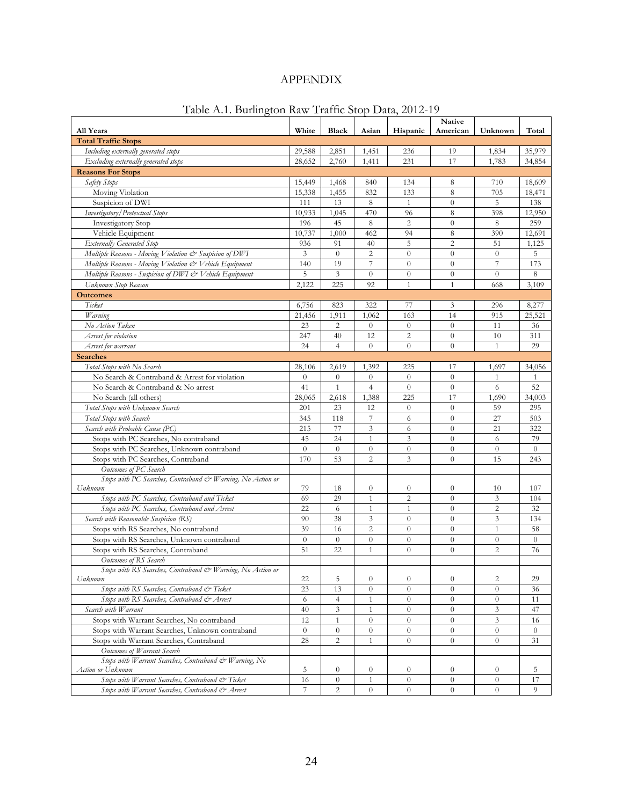| Table A.1. Burlington Raw Traffic Stop Data, 2012-19                                |          |                  |                  |                  |                    |                  |                |  |
|-------------------------------------------------------------------------------------|----------|------------------|------------------|------------------|--------------------|------------------|----------------|--|
| <b>All Years</b>                                                                    | White    | <b>Black</b>     | Asian            | Hispanic         | Native<br>American | Unknown          | Total          |  |
| <b>Total Traffic Stops</b>                                                          |          |                  |                  |                  |                    |                  |                |  |
| Including externally generated stops                                                | 29,588   | 2,851            | 1,451            | 236              | 19                 | 1,834            | 35,979         |  |
| Excluding externally generated stops                                                | 28,652   | 2,760            | 1,411            | 231              | 17                 | 1,783            | 34,854         |  |
| <b>Reasons For Stops</b>                                                            |          |                  |                  |                  |                    |                  |                |  |
| Safety Stops                                                                        | 15,449   | 1,468            | 840              | 134              | 8                  | 710              | 18,609         |  |
| Moving Violation                                                                    | 15,338   | 1,455            | 832              | 133              | 8                  | 705              | 18,471         |  |
| Suspicion of DWI                                                                    | 111      | 13               | 8                | 1                | $\theta$           | 5                | 138            |  |
| Investigatory / Pretextual Stops                                                    | 10,933   | 1,045            | 470              | 96               | 8                  | 398              | 12,950         |  |
| <b>Investigatory Stop</b>                                                           | 196      | 45               | 8                | $\overline{c}$   | $\boldsymbol{0}$   | 8                | 259            |  |
| Vehicle Equipment                                                                   | 10,737   | 1,000            | 462              | 94               | $\,$ 8 $\,$        | 390              | 12,691         |  |
| <b>Externally Generated Stop</b>                                                    | 936      | 91               | 40               | 5                | 2                  | 51               | 1,125          |  |
| Multiple Reasons - Moving Violation & Suspicion of DWI                              | 3        | $\theta$         | $\overline{c}$   | $\theta$         | $\overline{0}$     | $\theta$         | 5              |  |
| Multiple Reasons - Moving Violation & Vehicle Equipment                             | 140      | 19               | 7                | $\theta$         | $\theta$           | 7                | 173            |  |
| Multiple Reasons - Suspicion of DWI & Vehicle Equipment                             | 5        | 3                | $\overline{0}$   | $\overline{0}$   | $\overline{0}$     | $\theta$         | 8              |  |
| Unknown Stop Reason                                                                 | 2,122    | 225              | 92               | $\mathbf{1}$     | $\mathbf{1}$       | 668              | 3,109          |  |
| <b>Outcomes</b>                                                                     |          |                  |                  |                  |                    |                  |                |  |
| Ticket                                                                              | 6,756    | 823              | 322              | 77               | 3                  | 296              | 8,277          |  |
| Warning                                                                             | 21,456   | 1,911            | 1,062            | 163              | 14                 | 915              | 25,521         |  |
| No Action Taken                                                                     | 23       | 2                | $\theta$         | $\theta$         | $\theta$           | 11               | 36             |  |
| Arrest for violation                                                                | 247      | 40               | 12               | $\overline{c}$   | $\theta$           | 10               | 311            |  |
| Arrest for warrant                                                                  | 24       | $\overline{4}$   | $\theta$         | $\overline{0}$   | $\theta$           | $\mathbf{1}$     | 29             |  |
| <b>Searches</b>                                                                     |          |                  |                  |                  |                    |                  |                |  |
| Total Stops with No Search                                                          | 28,106   | 2,619            | 1,392            | 225              | 17                 | 1,697            | 34,056         |  |
| No Search & Contraband & Arrest for violation                                       | $\theta$ | $\boldsymbol{0}$ | $\boldsymbol{0}$ | $\overline{0}$   | $\theta$           | 1                | 1              |  |
| No Search & Contraband & No arrest                                                  | 41       | $\mathbf{1}$     | $\overline{4}$   | $\theta$         | $\theta$           | 6                | 52             |  |
| No Search (all others)                                                              | 28,065   | 2,618            | 1,388            | 225              | 17                 | 1,690            | 34,003         |  |
| Total Stops with Unknown Search                                                     | 201      | 23               | 12               | $\theta$         | $\overline{0}$     | 59               | 295            |  |
| Total Stops with Search                                                             | 345      | 118              | 7                | 6                | $\boldsymbol{0}$   | 27               | 503            |  |
| Search with Probable Cause (PC)                                                     | 215      | 77               | 3                | 6                | $\theta$           | 21               | 322            |  |
| Stops with PC Searches, No contraband                                               | 45       | 24               | $\mathbf{1}$     | 3                | $\theta$           | 6                | 79             |  |
| Stops with PC Searches, Unknown contraband                                          | $\theta$ | $\overline{0}$   | $\boldsymbol{0}$ | $\theta$         | $\overline{0}$     | $\overline{0}$   | $\theta$       |  |
| Stops with PC Searches, Contraband                                                  | 170      | 53               | $\overline{c}$   | 3                | $\theta$           | 15               | 243            |  |
| Outcomes of PC Search                                                               |          |                  |                  |                  |                    |                  |                |  |
| Stops with PC Searches, Contraband & Warning, No Action or                          |          |                  |                  |                  |                    |                  |                |  |
| Unknown                                                                             | 79       | 18               | $\boldsymbol{0}$ | $\boldsymbol{0}$ | $\boldsymbol{0}$   | 10               | 107            |  |
| Stops with PC Searches, Contraband and Ticket                                       | 69       | 29               | $\mathbf{1}$     | $\overline{c}$   | $\theta$           | 3                | 104            |  |
| Stops with PC Searches, Contraband and Arrest                                       | 22       | 6                | 1                | 1                | $\theta$           | 2                | 32             |  |
| Search with Reasonable Suspicion (RS)                                               | 90       | 38               | 3                | $\theta$         | $\theta$           | 3                | 134            |  |
| Stops with RS Searches, No contraband                                               | 39       | 16               | $\overline{2}$   | $\theta$         | $\theta$           | $\mathbf{1}$     | 58             |  |
| Stops with RS Searches, Unknown contraband                                          | $\theta$ | $\overline{0}$   | $\boldsymbol{0}$ | $\theta$         | $\theta$           | $\theta$         | $\theta$       |  |
| Stops with RS Searches, Contraband                                                  | 51       | 22               | $\mathbf{1}$     | $\theta$         | $\theta$           | $\overline{c}$   | 76             |  |
| Outcomes of RS Search<br>Stops with RS Searches, Contraband & Warning, No Action or |          |                  |                  |                  |                    |                  |                |  |
| Unknown                                                                             | 22       | 5                | $\boldsymbol{0}$ | $\theta$         | $\boldsymbol{0}$   | 2                | 29             |  |
| Stops with RS Searches, Contraband & Ticket                                         | 23       | 13               | $\boldsymbol{0}$ | $\theta$         | $\theta$           | $\overline{0}$   | 36             |  |
| Stops with RS Searches, Contraband & Arrest                                         | 6        | 4                | 1                | $\theta$         | $\theta$           | $\boldsymbol{0}$ | 11             |  |
| Search with Warrant                                                                 | 40       | 3                | $\mathbf{1}$     | $\overline{0}$   | $\theta$           | 3                | 47             |  |
| Stops with Warrant Searches, No contraband                                          | 12       | $\mathbf{1}$     | $\theta$         | $\theta$         | $\theta$           | 3                | 16             |  |
| Stops with Warrant Searches, Unknown contraband                                     | $\theta$ | $\boldsymbol{0}$ | $\boldsymbol{0}$ | $\boldsymbol{0}$ | $\theta$           | $\theta$         | $\overline{0}$ |  |
| Stops with Warrant Searches, Contraband                                             | 28       | $\overline{c}$   | 1                | $\theta$         | $\theta$           | $\overline{0}$   | 31             |  |
| Outcomes of Warrant Search                                                          |          |                  |                  |                  |                    |                  |                |  |
| Stops with Warrant Searches, Contraband & Warning, No                               |          |                  |                  |                  |                    |                  |                |  |
| Action or Unknown                                                                   | 5        | $\theta$         | $\theta$         | $\theta$         | $\theta$           | $\theta$         | 5              |  |
| Stops with Warrant Searches, Contraband & Ticket                                    | 16       | $\boldsymbol{0}$ | $\mathbf{1}$     | $\theta$         | $\theta$           | $\mathbf{0}$     | 17             |  |
| Stops with Warrant Searches, Contraband & Arrest                                    | 7        | $\overline{c}$   | $\theta$         | $\theta$         | $\theta$           | $\theta$         | 9              |  |

# APPENDIX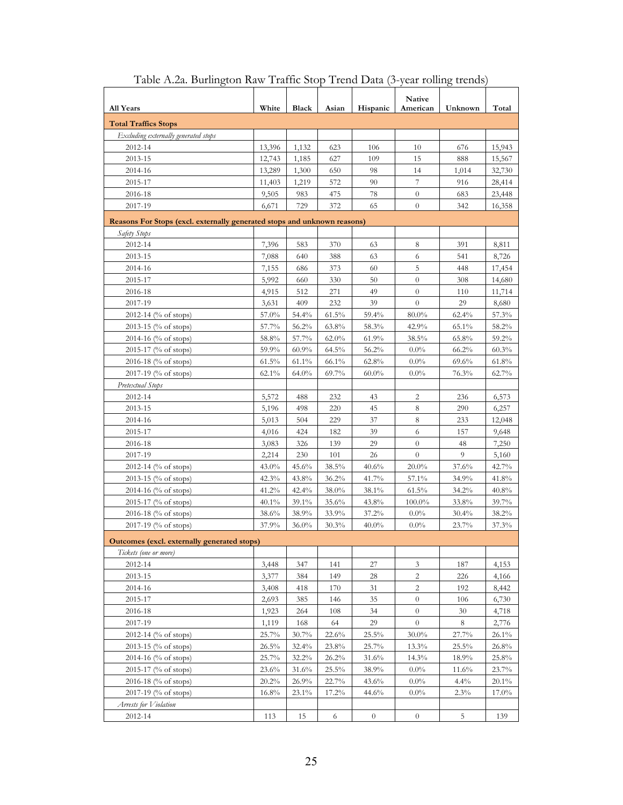| All Years                                                                | White    | Black    | Asian    | Hispanic       | <b>Native</b><br>American | Unknown  | Total    |
|--------------------------------------------------------------------------|----------|----------|----------|----------------|---------------------------|----------|----------|
| <b>Total Traffics Stops</b>                                              |          |          |          |                |                           |          |          |
| Excluding externally generated stops                                     |          |          |          |                |                           |          |          |
| 2012-14                                                                  | 13,396   | 1,132    | 623      | 106            | 10                        | 676      | 15,943   |
| 2013-15                                                                  | 12,743   | 1,185    | 627      | 109            | 15                        | 888      | 15,567   |
| 2014-16                                                                  | 13,289   | 1,300    | 650      | 98             | 14                        | 1,014    | 32,730   |
| 2015-17                                                                  | 11,403   | 1,219    | 572      | 90             | 7                         | 916      | 28,414   |
| 2016-18                                                                  | 9,505    | 983      | 475      | 78             | $\theta$                  | 683      | 23,448   |
| 2017-19                                                                  | 6,671    | 729      | 372      | 65             | $\theta$                  | 342      | 16,358   |
| Reasons For Stops (excl. externally generated stops and unknown reasons) |          |          |          |                |                           |          |          |
| Safety Stops                                                             |          |          |          |                |                           |          |          |
| 2012-14                                                                  | 7,396    | 583      | 370      | 63             | 8                         | 391      | 8,811    |
| 2013-15                                                                  | 7,088    | 640      | 388      | 63             | 6                         | 541      | 8,726    |
| 2014-16                                                                  | 7,155    | 686      | 373      | 60             | 5                         | 448      | 17,454   |
| 2015-17                                                                  | 5,992    | 660      | 330      | $50\,$         | $\theta$                  | 308      | 14,680   |
| 2016-18                                                                  | 4,915    | 512      | 271      | 49             | $\theta$                  | 110      | 11,714   |
| 2017-19                                                                  | 3,631    | 409      | 232      | 39             | $\theta$                  | 29       | 8,680    |
| 2012-14 (% of stops)                                                     | 57.0%    | 54.4%    | $61.5\%$ | 59.4%          | $80.0\%$                  | 62.4%    | 57.3%    |
| 2013-15 (% of stops)                                                     | 57.7%    | 56.2%    | 63.8%    | 58.3%          | 42.9%                     | 65.1%    | 58.2%    |
| 2014-16 (% of stops)                                                     | 58.8%    | 57.7%    | $62.0\%$ | 61.9%          | 38.5%                     | 65.8%    | 59.2%    |
| 2015-17 (% of stops)                                                     | 59.9%    | 60.9%    | $64.5\%$ | 56.2%          | $0.0\%$                   | 66.2%    | 60.3%    |
| 2016-18 (% of stops)                                                     | 61.5%    | $61.1\%$ | 66.1%    | 62.8%          | $0.0\%$                   | 69.6%    | 61.8%    |
| 2017-19 (% of stops)                                                     | 62.1%    | 64.0%    | 69.7%    | $60.0\%$       | $0.0\%$                   | 76.3%    | 62.7%    |
| Pretextual Stops                                                         |          |          |          |                |                           |          |          |
| 2012-14                                                                  | 5,572    | 488      | 232      | 43             | 2                         | 236      | 6,573    |
| 2013-15                                                                  | 5,196    | 498      | 220      | 45             | 8                         | 290      | 6,257    |
| 2014-16                                                                  | 5,013    | 504      | 229      | 37             | 8                         | 233      | 12,048   |
| 2015-17                                                                  | 4,016    | 424      | 182      | 39             | 6                         | 157      | 9,648    |
| 2016-18                                                                  | 3,083    | 326      | 139      | 29             | $\theta$                  | 48       | 7,250    |
| 2017-19                                                                  | 2,214    | 230      | 101      | 26             | $\theta$                  | 9        | 5,160    |
| 2012-14 (% of stops)                                                     | 43.0%    | 45.6%    | 38.5%    | 40.6%          | $20.0\%$                  | 37.6%    | 42.7%    |
| 2013-15 (% of stops)                                                     | 42.3%    | 43.8%    | $36.2\%$ | 41.7%          | 57.1%                     | 34.9%    | 41.8%    |
| 2014-16 (% of stops)                                                     | 41.2%    | 42.4%    | 38.0%    | 38.1%          | $61.5\%$                  | $34.2\%$ | 40.8%    |
| 2015-17 (% of stops)                                                     | 40.1%    | 39.1%    | 35.6%    | 43.8%          | 100.0%                    | 33.8%    | 39.7%    |
| 2016-18 (% of stops)                                                     | 38.6%    | 38.9%    | 33.9%    | 37.2%          | $0.0\%$                   | $30.4\%$ | 38.2%    |
| 2017-19 (% of stops)                                                     | 37.9%    | $36.0\%$ | 30.3%    | $40.0\%$       | $0.0\%$                   | 23.7%    | 37.3%    |
| Outcomes (excl. externally generated stops)                              |          |          |          |                |                           |          |          |
| Tickets (one or more)                                                    |          |          |          |                |                           |          |          |
| 2012-14                                                                  | 3,448    | 347      | 141      | 27             | $\mathfrak{Z}$            | 187      | 4,153    |
| 2013-15                                                                  | 3,377    | 384      | 149      | 28             | $\overline{c}$            | 226      | 4,166    |
| 2014-16                                                                  | 3,408    | 418      | 170      | 31             | $\overline{c}$            | 192      | 8,442    |
| 2015-17                                                                  | 2,693    | 385      | 146      | 35             | $\theta$                  | 106      | 6,730    |
| 2016-18                                                                  | 1,923    | 264      | 108      | 34             | $\theta$                  | 30       | 4,718    |
| 2017-19                                                                  | 1,119    | 168      | 64       | 29             | $\theta$                  | 8        | 2,776    |
| 2012-14 (% of stops)                                                     | 25.7%    | 30.7%    | 22.6%    | 25.5%          | $30.0\%$                  | 27.7%    | $26.1\%$ |
| 2013-15 (% of stops)                                                     | 26.5%    | 32.4%    | 23.8%    | 25.7%          | $13.3\%$                  | 25.5%    | 26.8%    |
| 2014-16 (% of stops)                                                     | 25.7%    | 32.2%    | 26.2%    | 31.6%          | 14.3%                     | 18.9%    | 25.8%    |
| 2015-17 (% of stops)                                                     | $23.6\%$ | 31.6%    | $25.5\%$ | 38.9%          | $0.0\%$                   | 11.6%    | 23.7%    |
| 2016-18 (% of stops)                                                     | 20.2%    | 26.9%    | 22.7%    | 43.6%          | $0.0\%$                   | $4.4\%$  | $20.1\%$ |
| 2017-19 (% of stops)                                                     | 16.8%    | $23.1\%$ | $17.2\%$ | 44.6%          | $0.0\%$                   | 2.3%     | $17.0\%$ |
| Arrests for Violation                                                    |          |          |          |                |                           |          |          |
| 2012-14                                                                  | 113      | 15       | 6        | $\overline{0}$ | $\overline{0}$            | 5        | 139      |

| Table A.2a. Burlington Raw Traffic Stop Trend Data (3-year rolling trends) |  |  |
|----------------------------------------------------------------------------|--|--|
|                                                                            |  |  |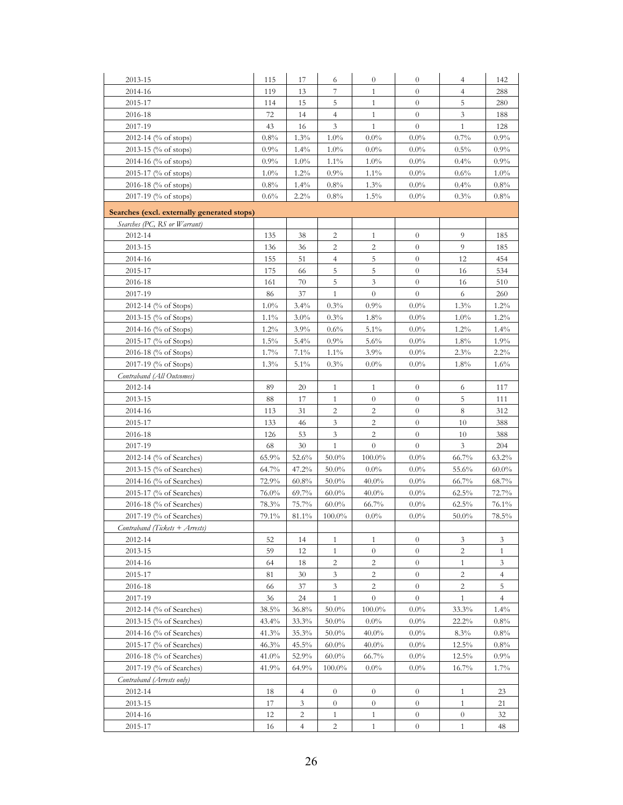| 2013-15                                     | 115            | 17             | 6              | $\overline{0}$   | $\theta$         | $\overline{4}$   | 142            |
|---------------------------------------------|----------------|----------------|----------------|------------------|------------------|------------------|----------------|
| 2014-16                                     | 119            | 13             | 7              | $\mathbf{1}$     | $\theta$         | $\overline{4}$   | 288            |
| 2015-17                                     | 114            | 15             | 5              | $\mathbf{1}$     | $\overline{0}$   | 5                | 280            |
| 2016-18                                     | 72             | 14             | $\overline{4}$ | $\mathbf{1}$     | $\overline{0}$   | $\mathfrak{Z}$   | 188            |
| 2017-19                                     | 43             | 16             | 3              | $\mathbf{1}$     | $\theta$         | $\mathbf{1}$     | 128            |
| 2012-14 (% of stops)                        | 0.8%           | 1.3%           | $1.0\%$        | $0.0\%$          | $0.0\%$          | 0.7%             | 0.9%           |
| 2013-15 (% of stops)                        | 0.9%           | 1.4%           | $1.0\%$        | $0.0\%$          | $0.0\%$          | $0.5\%$          | 0.9%           |
| 2014-16 (% of stops)                        | 0.9%           | 1.0%           | $1.1\%$        | $1.0\%$          | $0.0\%$          | 0.4%             | 0.9%           |
| 2015-17 (% of stops)                        | $1.0\%$        | 1.2%           | $0.9\%$        | $1.1\%$          | $0.0\%$          | $0.6\%$          | $1.0\%$        |
| 2016-18 (% of stops)                        | 0.8%           | $1.4\%$        | $0.8\%$        | $1.3\%$          | $0.0\%$          | 0.4%             | 0.8%           |
| 2017-19 (% of stops)                        | 0.6%           | $2.2\%$        | $0.8\%$        | 1.5%             | $0.0\%$          | 0.3%             | 0.8%           |
| Searches (excl. externally generated stops) |                |                |                |                  |                  |                  |                |
| Searches (PC, RS or Warrant)                |                |                |                |                  |                  |                  |                |
| 2012-14                                     | 135            | 38             | 2              | $\mathbf{1}$     | $\boldsymbol{0}$ | 9                | 185            |
| 2013-15                                     | 136            | 36             | 2              | 2                | $\theta$         | 9                | 185            |
| 2014-16                                     | 155            | 51             | $\overline{4}$ | 5                | $\boldsymbol{0}$ | 12               | 454            |
| 2015-17                                     | 175            | 66             | 5              | 5                | $\theta$         | 16               | 534            |
| 2016-18                                     | 161            | 70             | 5              | 3                | $\theta$         | 16               | 510            |
| 2017-19                                     | 86             | 37             | $\mathbf{1}$   | $\theta$         | $\theta$         | 6                | 260            |
| 2012-14 (% of Stops)                        | $1.0\%$        | 3.4%           | 0.3%           | 0.9%             | $0.0\%$          | 1.3%             | 1.2%           |
| 2013-15 (% of Stops)                        | $1.1\%$        | $3.0\%$        | 0.3%           | 1.8%             | $0.0\%$          | $1.0\%$          | $1.2\%$        |
| 2014-16 (% of Stops)                        | 1.2%           | 3.9%           | $0.6\%$        | 5.1%             | $0.0\%$          | $1.2\%$          | $1.4\%$        |
| 2015-17 (% of Stops)                        | 1.5%           | 5.4%           | $0.9\%$        | 5.6%             | $0.0\%$          | 1.8%             | 1.9%           |
| 2016-18 (% of Stops)                        | 1.7%           | 7.1%           | $1.1\%$        | 3.9%             | $0.0\%$          | 2.3%             | $2.2\%$        |
| 2017-19 (% of Stops)                        | 1.3%           | 5.1%           | 0.3%           | $0.0\%$          | $0.0\%$          | 1.8%             | 1.6%           |
| Contraband (All Outcomes)                   |                |                |                |                  |                  |                  |                |
| 2012-14                                     | 89             | 20             | $\mathbf{1}$   | 1                | $\theta$         | 6                | 117            |
| 2013-15                                     | 88             | 17             | $\mathbf{1}$   | $\boldsymbol{0}$ | $\boldsymbol{0}$ | 5                | 111            |
| 2014-16                                     | 113            | 31             | 2              | 2                | $\theta$         | 8                | 312            |
| 2015-17                                     | 133            | 46             | 3              | 2                | $\theta$         | 10               | 388            |
| 2016-18                                     | 126            | 53             | 3              | 2                | $\boldsymbol{0}$ | 10               | 388            |
| 2017-19                                     | 68             | 30             | $\mathbf{1}$   | $\theta$         | $\theta$         | 3                | 204            |
| 2012-14 (% of Searches)                     | 65.9%          | 52.6%          | $50.0\%$       | 100.0%           | $0.0\%$          | 66.7%            | $63.2\%$       |
| 2013-15 (% of Searches)                     |                |                | $50.0\%$       | $0.0\%$          | $0.0\%$          | 55.6%            |                |
|                                             | 64.7%<br>72.9% | 47.2%          |                | $40.0\%$         | $0.0\%$          |                  | $60.0\%$       |
| 2014-16 (% of Searches)                     |                | 60.8%          | $50.0\%$       |                  |                  | 66.7%            | $68.7\%$       |
| 2015-17 (% of Searches)                     | 76.0%          | 69.7%          | $60.0\%$       | $40.0\%$         | $0.0\%$          | 62.5%            | 72.7%          |
| 2016-18 (% of Searches)                     | 78.3%          | 75.7%          | $60.0\%$       | 66.7%            | $0.0\%$          | 62.5%            | 76.1%          |
| 2017-19 (% of Searches)                     | 79.1%          | 81.1%          | $100.0\%$      | $0.0\%$          | $0.0\%$          | 50.0%            | 78.5%          |
| Contraband (Tickets + Arrests)              |                |                |                |                  |                  |                  |                |
| 2012-14                                     | 52             | 14             | $\mathbf{1}$   | $\mathbf{1}$     | $\theta$         | 3                | 3              |
| 2013-15                                     | 59             | 12             | $\mathbf{1}$   | $\overline{0}$   | $\theta$         | 2                | $\mathbf{1}$   |
| 2014-16                                     | 64             | 18             | 2              | 2                | $\theta$         | $\mathbf{1}$     | 3              |
| 2015-17                                     | 81             | 30             | 3              | 2                | $\boldsymbol{0}$ | 2                | $\overline{4}$ |
| 2016-18                                     | 66             | 37             | 3              | $\overline{2}$   | $\theta$         | 2                | 5              |
| 2017-19                                     | 36             | 24             | $\mathbf{1}$   | $\theta$         | $\theta$         | $\mathbf{1}$     | $\overline{4}$ |
| 2012-14 (% of Searches)                     | 38.5%          | 36.8%          | $50.0\%$       | 100.0%           | $0.0\%$          | 33.3%            | 1.4%           |
| 2013-15 (% of Searches)                     | 43.4%          | 33.3%          | $50.0\%$       | $0.0\%$          | $0.0\%$          | 22.2%            | 0.8%           |
| 2014-16 (% of Searches)                     | 41.3%          | 35.3%          | $50.0\%$       | 40.0%            | $0.0\%$          | 8.3%             | $0.8\%$        |
| 2015-17 (% of Searches)                     | 46.3%          | 45.5%          | $60.0\%$       | $40.0\%$         | $0.0\%$          | 12.5%            | 0.8%           |
| 2016-18 (% of Searches)                     | 41.0%          | 52.9%          | $60.0\%$       | 66.7%            | $0.0\%$          | 12.5%            | 0.9%           |
| 2017-19 (% of Searches)                     | 41.9%          | 64.9%          | 100.0%         | $0.0\%$          | $0.0\%$          | $16.7\%$         | 1.7%           |
| Contraband (Arrests only)                   |                |                |                |                  |                  |                  |                |
| 2012-14                                     | 18             | $\overline{4}$ | $\overline{0}$ | $\overline{0}$   | $\boldsymbol{0}$ | $\mathbf{1}$     | 23             |
| 2013-15                                     | 17             | 3              | $\overline{0}$ | $\overline{0}$   | $\theta$         | $\mathbf{1}$     | 21             |
| 2014-16                                     | 12             | 2              | $\mathbf{1}$   | $\mathbf{1}$     | $\theta$         | $\boldsymbol{0}$ | 32             |
| 2015-17                                     | 16             | $\overline{4}$ | 2              | $\mathbf{1}$     | $\theta$         | $\mathbf{1}$     | 48             |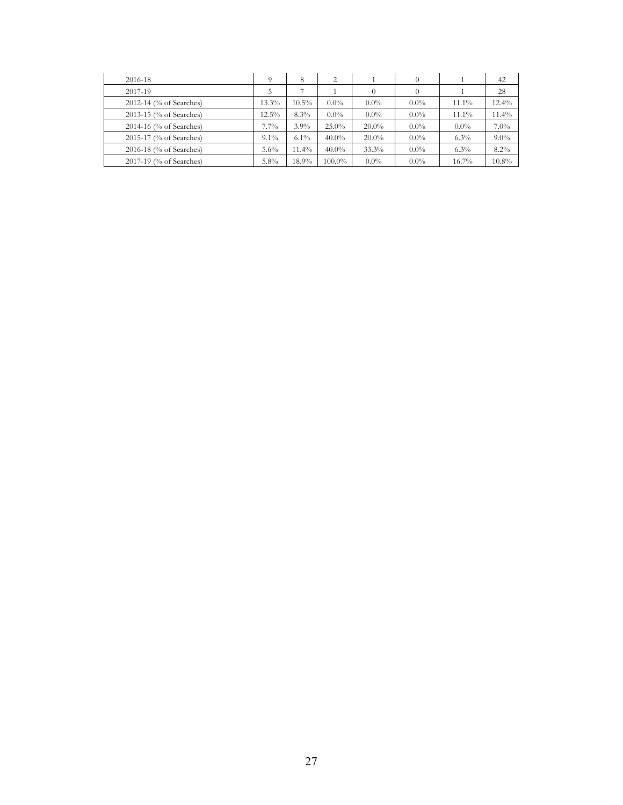| 2016-18                 | 9        | 8        | $\overline{c}$ |          |         |          | 42       |
|-------------------------|----------|----------|----------------|----------|---------|----------|----------|
| 2017-19                 | 5        |          |                | $\Omega$ |         |          | 28       |
| 2012-14 (% of Searches) | $13.3\%$ | $10.5\%$ | $0.0\%$        | $0.0\%$  | $0.0\%$ | $11.1\%$ | $12.4\%$ |
| 2013-15 (% of Searches) | 12.5%    | 8.3%     | $0.0\%$        | $0.0\%$  | $0.0\%$ | $11.1\%$ | $11.4\%$ |
| 2014-16 (% of Searches) | 7.7%     | $3.9\%$  | $25.0\%$       | $20.0\%$ | $0.0\%$ | $0.0\%$  | 7.0%     |
| 2015-17 (% of Searches) | $9.1\%$  | $6.1\%$  | $40.0\%$       | $20.0\%$ | $0.0\%$ | $6.3\%$  | $9.0\%$  |
| 2016-18 (% of Searches) | 5.6%     | 11.4%    | $40.0\%$       | 33.3%    | $0.0\%$ | $6.3\%$  | 8.2%     |
| 2017-19 (% of Searches) | 5.8%     | 18.9%    | 100.0%         | $0.0\%$  | $0.0\%$ | $16.7\%$ | 10.8%    |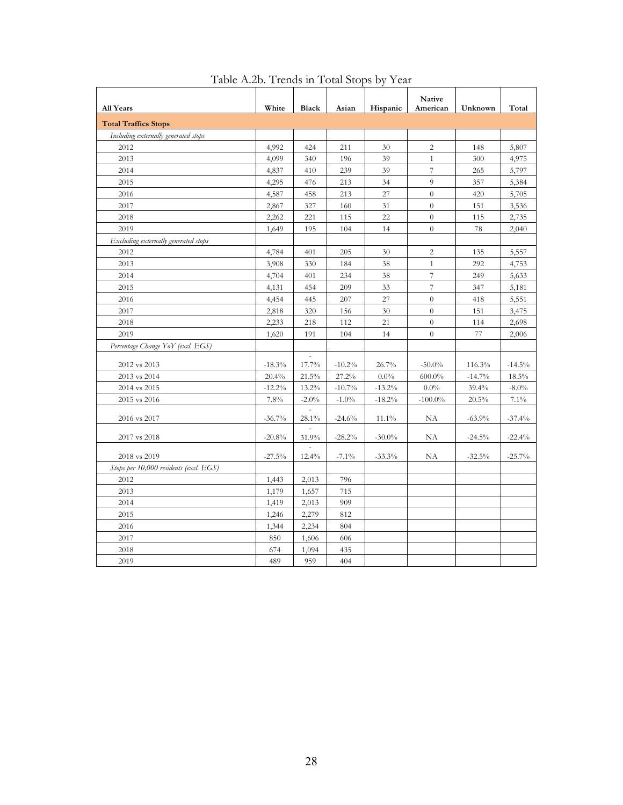| <b>All Years</b>                       | White    | <b>Black</b> | Asian    | Hispanic  | Native<br>American | Unknown  | Total    |
|----------------------------------------|----------|--------------|----------|-----------|--------------------|----------|----------|
| <b>Total Traffics Stops</b>            |          |              |          |           |                    |          |          |
| Including externally generated stops   |          |              |          |           |                    |          |          |
| 2012                                   | 4,992    | 424          | 211      | 30        | 2                  | 148      | 5,807    |
| 2013                                   | 4,099    | 340          | 196      | 39        | $\mathbf{1}$       | 300      | 4,975    |
| 2014                                   | 4,837    | 410          | 239      | 39        | $\overline{7}$     | 265      | 5,797    |
| 2015                                   | 4,295    | 476          | 213      | 34        | 9                  | 357      | 5,384    |
| 2016                                   | 4,587    | 458          | 213      | 27        | $\theta$           | 420      | 5,705    |
| 2017                                   | 2,867    | 327          | 160      | 31        | $\theta$           | 151      | 3,536    |
| 2018                                   | 2,262    | 221          | 115      | 22        | $\theta$           | 115      | 2,735    |
| 2019                                   | 1,649    | 195          | 104      | 14        | $\theta$           | 78       | 2,040    |
| Excluding externally generated stops   |          |              |          |           |                    |          |          |
| 2012                                   | 4,784    | 401          | 205      | 30        | 2                  | 135      | 5,557    |
| 2013                                   | 3,908    | 330          | 184      | 38        | $\mathbf{1}$       | 292      | 4,753    |
| 2014                                   | 4,704    | 401          | 234      | 38        | $\overline{7}$     | 249      | 5,633    |
| 2015                                   | 4,131    | 454          | 209      | 33        | 7                  | 347      | 5,181    |
| 2016                                   | 4,454    | 445          | 207      | 27        | $\overline{0}$     | 418      | 5,551    |
| 2017                                   | 2,818    | 320          | 156      | 30        | $\overline{0}$     | 151      | 3,475    |
| 2018                                   | 2,233    | 218          | 112      | 21        | $\boldsymbol{0}$   | 114      | 2,698    |
| 2019                                   | 1,620    | 191          | 104      | 14        | $\overline{0}$     | 77       | 2,006    |
| Percentage Change YoY (excl. EGS)      |          |              |          |           |                    |          |          |
| 2012 vs 2013                           | $-18.3%$ | 17.7%        | $-10.2%$ | 26.7%     | $-50.0\%$          | 116.3%   | $-14.5%$ |
| 2013 vs 2014                           | 20.4%    | 21.5%        | 27.2%    | $0.0\%$   | $600.0\%$          | $-14.7%$ | 18.5%    |
| 2014 vs 2015                           | $-12.2%$ | 13.2%        | $-10.7%$ | $-13.2%$  | $0.0\%$            | 39.4%    | $-8.0\%$ |
| 2015 vs 2016                           | 7.8%     | $-2.0\%$     | $-1.0\%$ | $-18.2%$  | $-100.0\%$         | 20.5%    | 7.1%     |
| 2016 vs 2017                           | $-36.7%$ | 28.1%        | $-24.6%$ | $11.1\%$  | NA                 | $-63.9%$ | $-37.4%$ |
| 2017 vs 2018                           | $-20.8%$ | 31.9%        | $-28.2%$ | $-30.0\%$ | NA                 | $-24.5%$ | $-22.4%$ |
| 2018 vs 2019                           | $-27.5%$ | 12.4%        | $-7.1\%$ | $-33.3%$  | NA                 | $-32.5%$ | $-25.7%$ |
| Stops per 10,000 residents (excl. EGS) |          |              |          |           |                    |          |          |
| 2012                                   | 1,443    | 2,013        | 796      |           |                    |          |          |
| 2013                                   | 1,179    | 1,657        | 715      |           |                    |          |          |
| 2014                                   | 1,419    | 2,013        | 909      |           |                    |          |          |
| 2015                                   | 1,246    | 2,279        | 812      |           |                    |          |          |
| 2016                                   | 1,344    | 2,234        | 804      |           |                    |          |          |
| 2017                                   | 850      | 1,606        | 606      |           |                    |          |          |
| 2018                                   | 674      | 1,094        | 435      |           |                    |          |          |
| 2019                                   | 489      | 959          | 404      |           |                    |          |          |

Table A.2b. Trends in Total Stops by Year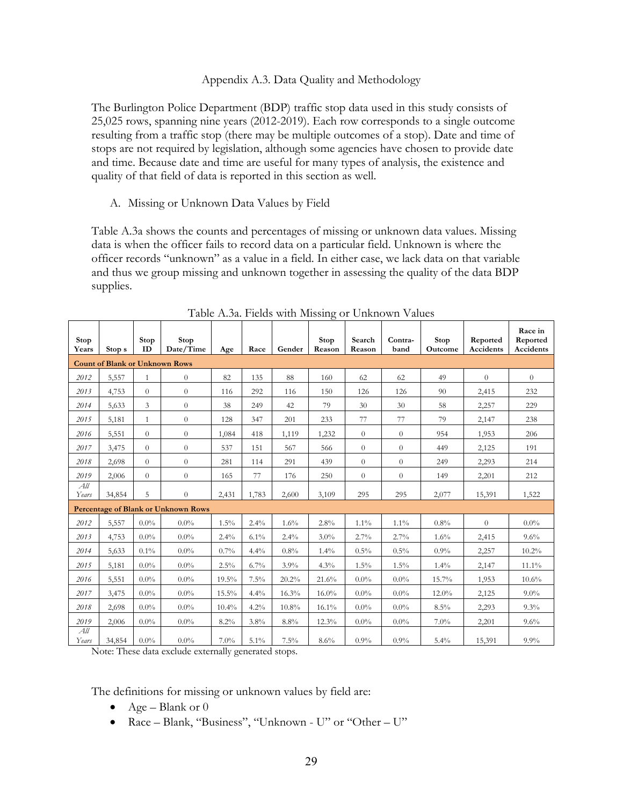### Appendix A.3. Data Quality and Methodology

 25,025 rows, spanning nine years (2012-2019). Each row corresponds to a single outcome stops are not required by legislation, although some agencies have chosen to provide date The Burlington Police Department (BDP) traffic stop data used in this study consists of resulting from a traffic stop (there may be multiple outcomes of a stop). Date and time of and time. Because date and time are useful for many types of analysis, the existence and quality of that field of data is reported in this section as well.

A. Missing or Unknown Data Values by Field

 and thus we group missing and unknown together in assessing the quality of the data BDP supplies. Table A.3a shows the counts and percentages of missing or unknown data values. Missing data is when the officer fails to record data on a particular field. Unknown is where the officer records "unknown" as a value in a field. In either case, we lack data on that variable

| Stop<br>Years | Stop <sub>s</sub>                          | Stop<br>ID     | Stop<br>Date/Time | Age      | Race  | Gender   | Stop<br>Reason | Search<br>Reason | Contra-<br>band | Stop<br>Outcome | Reported<br>Accidents | Race in<br>Reported<br>Accidents |
|---------------|--------------------------------------------|----------------|-------------------|----------|-------|----------|----------------|------------------|-----------------|-----------------|-----------------------|----------------------------------|
|               | <b>Count of Blank or Unknown Rows</b>      |                |                   |          |       |          |                |                  |                 |                 |                       |                                  |
| 2012          | 5,557                                      | $\mathbf{1}$   | $\overline{0}$    | 82       | 135   | 88       | 160            | 62               | 62              | 49              | $\theta$              | $\theta$                         |
| 2013          | 4,753                                      | $\theta$       | $\overline{0}$    | 116      | 292   | 116      | 150            | 126              | 126             | 90              | 2,415                 | 232                              |
| 2014          | 5,633                                      | 3              | $\overline{0}$    | 38       | 249   | 42       | 79             | 30               | 30              | 58              | 2,257                 | 229                              |
| 2015          | 5,181                                      | $\mathbf{1}$   | $\overline{0}$    | 128      | 347   | 201      | 233            | 77               | 77              | 79              | 2,147                 | 238                              |
| 2016          | 5,551                                      | $\theta$       | $\overline{0}$    | 1,084    | 418   | 1,119    | 1,232          | $\overline{0}$   | $\overline{0}$  | 954             | 1,953                 | 206                              |
| 2017          | 3,475                                      | $\overline{0}$ | $\overline{0}$    | 537      | 151   | 567      | 566            | $\overline{0}$   | $\theta$        | 449             | 2,125                 | 191                              |
| 2018          | 2,698                                      | $\overline{0}$ | $\overline{0}$    | 281      | 114   | 291      | 439            | $\theta$         | $\theta$        | 249             | 2,293                 | 214                              |
| 2019          | 2,006                                      | $\theta$       | $\overline{0}$    | 165      | 77    | 176      | 250            | $\overline{0}$   | $\overline{0}$  | 149             | 2,201                 | 212                              |
| All<br>Years  | 34,854                                     | 5              | $\overline{0}$    | 2,431    | 1,783 | 2,600    | 3,109          | 295              | 295             | 2,077           | 15,391                | 1,522                            |
|               | <b>Percentage of Blank or Unknown Rows</b> |                |                   |          |       |          |                |                  |                 |                 |                       |                                  |
| 2012          | 5,557                                      | $0.0\%$        | $0.0\%$           | 1.5%     | 2.4%  | $1.6\%$  | 2.8%           | $1.1\%$          | $1.1\%$         | $0.8\%$         | $\theta$              | $0.0\%$                          |
| 2013          | 4,753                                      | $0.0\%$        | $0.0\%$           | 2.4%     | 6.1%  | $2.4\%$  | $3.0\%$        | 2.7%             | 2.7%            | 1.6%            | 2,415                 | 9.6%                             |
| 2014          | 5,633                                      | $0.1\%$        | $0.0\%$           | $0.7\%$  | 4.4%  | 0.8%     | 1.4%           | $0.5\%$          | $0.5\%$         | $0.9\%$         | 2,257                 | $10.2\%$                         |
| 2015          | 5,181                                      | $0.0\%$        | $0.0\%$           | 2.5%     | 6.7%  | 3.9%     | 4.3%           | 1.5%             | 1.5%            | 1.4%            | 2,147                 | $11.1\%$                         |
| 2016          | 5,551                                      | $0.0\%$        | $0.0\%$           | 19.5%    | 7.5%  | 20.2%    | 21.6%          | $0.0\%$          | $0.0\%$         | 15.7%           | 1,953                 | $10.6\%$                         |
| 2017          | 3,475                                      | $0.0\%$        | $0.0\%$           | 15.5%    | 4.4%  | 16.3%    | $16.0\%$       | $0.0\%$          | $0.0\%$         | $12.0\%$        | 2,125                 | $9.0\%$                          |
| 2018          | 2,698                                      | $0.0\%$        | $0.0\%$           | $10.4\%$ | 4.2%  | $10.8\%$ | $16.1\%$       | $0.0\%$          | $0.0\%$         | 8.5%            | 2,293                 | 9.3%                             |
| 2019          | 2,006                                      | $0.0\%$        | $0.0\%$           | 8.2%     | 3.8%  | 8.8%     | $12.3\%$       | $0.0\%$          | $0.0\%$         | $7.0\%$         | 2,201                 | 9.6%                             |
| All<br>Years  | 34,854                                     | $0.0\%$        | $0.0\%$           | $7.0\%$  | 5.1%  | 7.5%     | 8.6%           | $0.9\%$          | $0.9\%$         | 5.4%            | 15,391                | $9.9\%$                          |

Table A.3a. Fields with Missing or Unknown Values

Note: These data exclude externally generated stops.

The definitions for missing or unknown values by field are:

- Age Blank or  $0$
- Race Blank, "Business", "Unknown U" or "Other U"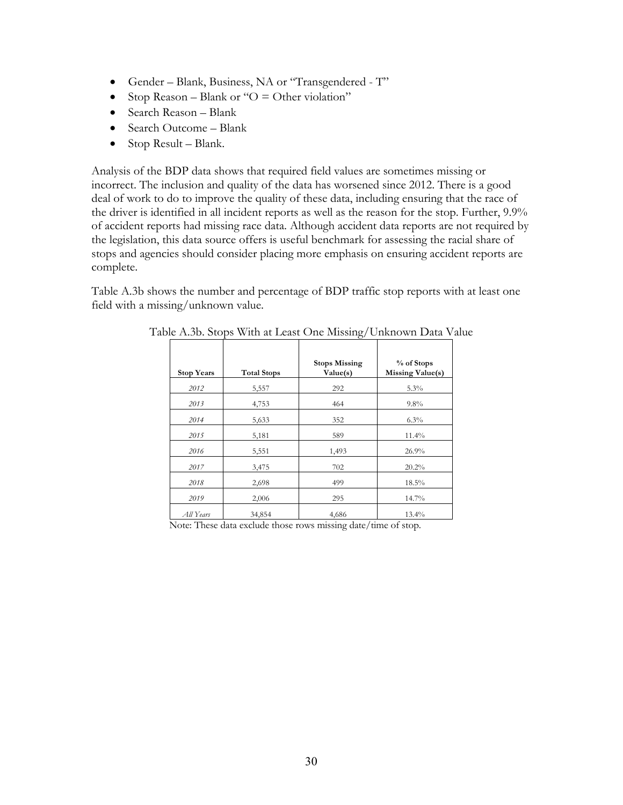- Gender Blank, Business, NA or "Transgendered T"
- Stop Reason Blank or " $O =$  Other violation"
- Search Reason Blank
- Search Outcome Blank
- Stop Result Blank.

 Analysis of the BDP data shows that required field values are sometimes missing or incorrect. The inclusion and quality of the data has worsened since 2012. There is a good the legislation, this data source offers is useful benchmark for assessing the racial share of deal of work to do to improve the quality of these data, including ensuring that the race of the driver is identified in all incident reports as well as the reason for the stop. Further, 9.9% of accident reports had missing race data. Although accident data reports are not required by stops and agencies should consider placing more emphasis on ensuring accident reports are complete.

 Table A.3b shows the number and percentage of BDP traffic stop reports with at least one field with a missing/unknown value.

| <b>Stop Years</b> | <b>Total Stops</b> | <b>Stops Missing</b><br>Value(s) | % of Stops<br><b>Missing Value(s)</b> |
|-------------------|--------------------|----------------------------------|---------------------------------------|
| 2012              | 5,557              | 292                              | 5.3%                                  |
| 2013              | 4,753              | 464                              | 9.8%                                  |
| 2014              | 5,633              | 352                              | 6.3%                                  |
| 2015              | 5,181              | 589                              | 11.4%                                 |
| 2016              | 5,551              | 1,493                            | 26.9%                                 |
| 2017              | 3,475              | 702                              | 20.2%                                 |
| 2018              | 2,698              | 499                              | 18.5%                                 |
| 2019              | 2,006              | 295                              | 14.7%                                 |
| All Years         | 34,854             | 4,686                            | 13.4%                                 |

Table A.3b. Stops With at Least One Missing/Unknown Data Value.

Note: These data exclude those rows missing date/time of stop.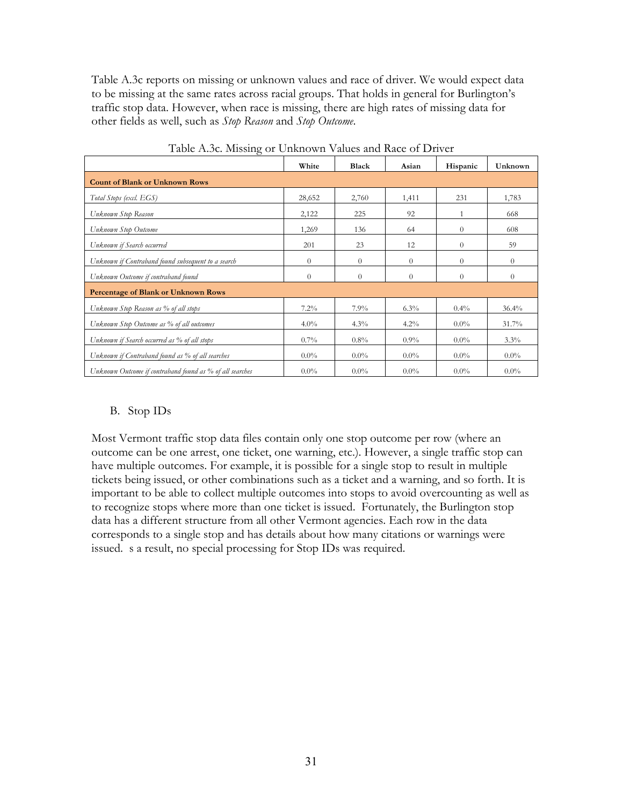Table A.3c reports on missing or unknown values and race of driver. We would expect data other fields as well, such as *Stop Reason* and *Stop Outcome*. to be missing at the same rates across racial groups. That holds in general for Burlington's traffic stop data. However, when race is missing, there are high rates of missing data for

|                                                          | White          | Black    | Asian    | Hispanic | <b>Unknown</b> |
|----------------------------------------------------------|----------------|----------|----------|----------|----------------|
| <b>Count of Blank or Unknown Rows</b>                    |                |          |          |          |                |
| Total Stops (excl. EGS)                                  | 28,652         | 2,760    | 1,411    | 231      | 1,783          |
| Unknown Stop Reason                                      | 2,122          | 225      | 92       | 1        | 668            |
| Unknown Stop Outcome                                     | 1,269          | 136      | 64       | $\theta$ | 608            |
| Unknown if Search occurred                               | 201            | 23       | 12       | $\theta$ | 59             |
| Unknown if Contraband found subsequent to a search       | $\overline{0}$ | $\theta$ | $\theta$ | $\theta$ | $\theta$       |
| Unknown Outcome if contraband found                      | $\overline{0}$ | $\Omega$ | $\theta$ | $\theta$ | $\Omega$       |
| Percentage of Blank or Unknown Rows                      |                |          |          |          |                |
| Unknown Stop Reason as % of all stops                    | $7.2\%$        | 7.9%     | $6.3\%$  | $0.4\%$  | $36.4\%$       |
| Unknown Stop Outcome as % of all outcomes                | $4.0\%$        | $4.3\%$  | $4.2\%$  | $0.0\%$  | 31.7%          |
| Unknown if Search occurred as % of all stops             | $0.7\%$        | $0.8\%$  | $0.9\%$  | $0.0\%$  | $3.3\%$        |
| Unknown if Contraband found as % of all searches         | $0.0\%$        | $0.0\%$  | $0.0\%$  | $0.0\%$  | $0.0\%$        |
| Unknown Outcome if contraband found as % of all searches | $0.0\%$        | $0.0\%$  | $0.0\%$  | $0.0\%$  | $0.0\%$        |

Table A.3c. Missing or Unknown Values and Race of Driver

### B. Stop IDs

 to recognize stops where more than one ticket is issued. Fortunately, the Burlington stop Most Vermont traffic stop data files contain only one stop outcome per row (where an outcome can be one arrest, one ticket, one warning, etc.). However, a single traffic stop can have multiple outcomes. For example, it is possible for a single stop to result in multiple tickets being issued, or other combinations such as a ticket and a warning, and so forth. It is important to be able to collect multiple outcomes into stops to avoid overcounting as well as data has a different structure from all other Vermont agencies. Each row in the data corresponds to a single stop and has details about how many citations or warnings were issued. s a result, no special processing for Stop IDs was required.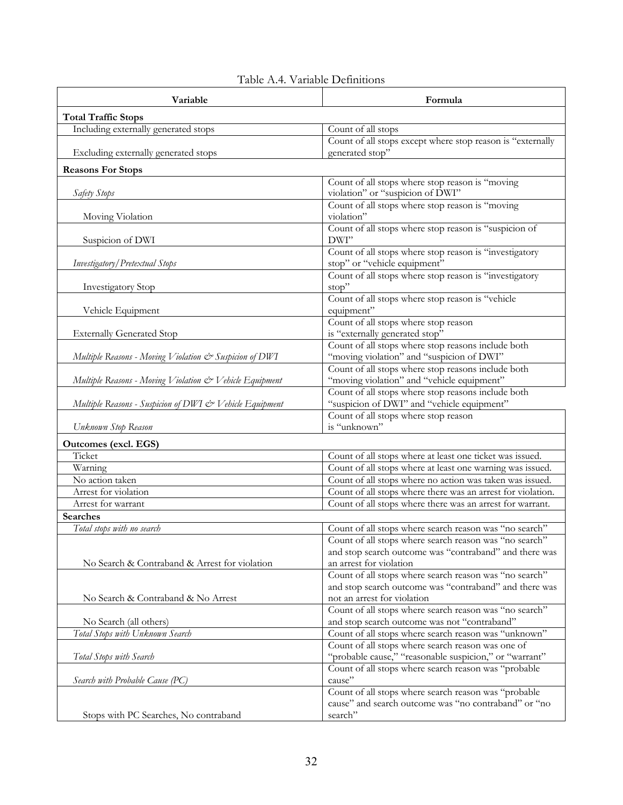| Variable                                                | Formula                                                                                          |
|---------------------------------------------------------|--------------------------------------------------------------------------------------------------|
| <b>Total Traffic Stops</b>                              |                                                                                                  |
| Including externally generated stops                    | Count of all stops                                                                               |
|                                                         | Count of all stops except where stop reason is "externally                                       |
| Excluding externally generated stops                    | generated stop"                                                                                  |
| <b>Reasons For Stops</b>                                |                                                                                                  |
|                                                         | Count of all stops where stop reason is "moving                                                  |
| Safety Stops                                            | violation" or "suspicion of DWI"                                                                 |
|                                                         | Count of all stops where stop reason is "moving                                                  |
| Moving Violation                                        | violation"                                                                                       |
|                                                         | Count of all stops where stop reason is "suspicion of<br>DWI"                                    |
| Suspicion of DWI                                        | Count of all stops where stop reason is "investigatory                                           |
| Investigatory / Pretextual Stops                        | stop" or "vehicle equipment"                                                                     |
|                                                         | Count of all stops where stop reason is "investigatory                                           |
| <b>Investigatory Stop</b>                               | stop"                                                                                            |
|                                                         | Count of all stops where stop reason is "vehicle                                                 |
| Vehicle Equipment                                       | equipment"                                                                                       |
|                                                         | Count of all stops where stop reason                                                             |
| <b>Externally Generated Stop</b>                        | is "externally generated stop"                                                                   |
|                                                         | Count of all stops where stop reasons include both                                               |
| Multiple Reasons - Moving Violation & Suspicion of DWI  | "moving violation" and "suspicion of DWI"                                                        |
|                                                         | Count of all stops where stop reasons include both                                               |
| Multiple Reasons - Moving Violation & Vehicle Equipment | "moving violation" and "vehicle equipment"                                                       |
|                                                         | Count of all stops where stop reasons include both<br>"suspicion of DWI" and "vehicle equipment" |
| Multiple Reasons - Suspicion of DWI & Vehicle Equipment | Count of all stops where stop reason                                                             |
| Unknown Stop Reason                                     | is "unknown"                                                                                     |
| <b>Outcomes</b> (excl. EGS)                             |                                                                                                  |
| Ticket                                                  | Count of all stops where at least one ticket was issued.                                         |
| Warning                                                 | Count of all stops where at least one warning was issued.                                        |
| No action taken                                         | Count of all stops where no action was taken was issued.                                         |
| Arrest for violation                                    | Count of all stops where there was an arrest for violation.                                      |
| Arrest for warrant                                      | Count of all stops where there was an arrest for warrant.                                        |
| <b>Searches</b>                                         |                                                                                                  |
| Total stops with no search                              | Count of all stops where search reason was "no search"                                           |
|                                                         | Count of all stops where search reason was "no search"                                           |
|                                                         | and stop search outcome was "contraband" and there was                                           |
| No Search & Contraband & Arrest for violation           | an arrest for violation                                                                          |
|                                                         | Count of all stops where search reason was "no search"                                           |
|                                                         | and stop search outcome was "contraband" and there was                                           |
| No Search & Contraband & No Arrest                      | not an arrest for violation<br>Count of all stops where search reason was "no search"            |
| No Search (all others)                                  | and stop search outcome was not "contraband"                                                     |
| Total Stops with Unknown Search                         | Count of all stops where search reason was "unknown"                                             |
|                                                         | Count of all stops where search reason was one of                                                |
| Total Stops with Search                                 | "probable cause," "reasonable suspicion," or "warrant"                                           |
|                                                         | Count of all stops where search reason was "probable                                             |
| Search with Probable Cause (PC)                         | cause"                                                                                           |
|                                                         | Count of all stops where search reason was "probable                                             |
|                                                         | cause" and search outcome was "no contraband" or "no                                             |
| Stops with PC Searches, No contraband                   | search"                                                                                          |

# Table A.4. Variable Definitions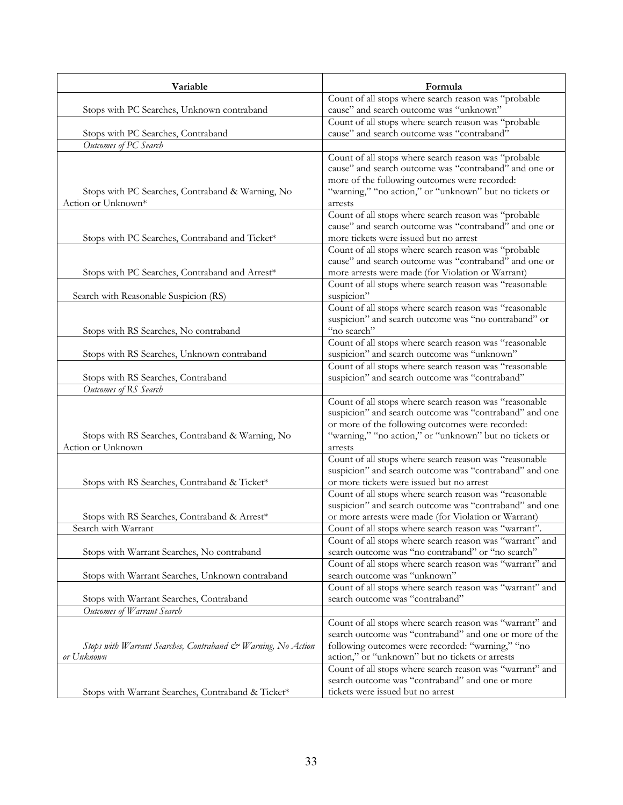| Variable                                                                   | Formula                                                                                                                                                                                                                                                                               |
|----------------------------------------------------------------------------|---------------------------------------------------------------------------------------------------------------------------------------------------------------------------------------------------------------------------------------------------------------------------------------|
|                                                                            | Count of all stops where search reason was "probable                                                                                                                                                                                                                                  |
| Stops with PC Searches, Unknown contraband                                 | cause" and search outcome was "unknown"                                                                                                                                                                                                                                               |
|                                                                            | Count of all stops where search reason was "probable                                                                                                                                                                                                                                  |
| Stops with PC Searches, Contraband                                         | cause" and search outcome was "contraband"                                                                                                                                                                                                                                            |
| Outcomes of PC Search                                                      |                                                                                                                                                                                                                                                                                       |
| Stops with PC Searches, Contraband & Warning, No<br>Action or Unknown*     | Count of all stops where search reason was "probable<br>cause" and search outcome was "contraband" and one or<br>more of the following outcomes were recorded:<br>"warning," "no action," or "unknown" but no tickets or<br>arrests                                                   |
| Stops with PC Searches, Contraband and Ticket*                             | Count of all stops where search reason was "probable<br>cause" and search outcome was "contraband" and one or<br>more tickets were issued but no arrest                                                                                                                               |
| Stops with PC Searches, Contraband and Arrest*                             | Count of all stops where search reason was "probable<br>cause" and search outcome was "contraband" and one or<br>more arrests were made (for Violation or Warrant)                                                                                                                    |
| Search with Reasonable Suspicion (RS)                                      | Count of all stops where search reason was "reasonable<br>suspicion"                                                                                                                                                                                                                  |
| Stops with RS Searches, No contraband                                      | Count of all stops where search reason was "reasonable<br>suspicion" and search outcome was "no contraband" or<br>"no search"                                                                                                                                                         |
| Stops with RS Searches, Unknown contraband                                 | Count of all stops where search reason was "reasonable<br>suspicion" and search outcome was "unknown"                                                                                                                                                                                 |
| Stops with RS Searches, Contraband                                         | Count of all stops where search reason was "reasonable<br>suspicion" and search outcome was "contraband"                                                                                                                                                                              |
| Outcomes of RS Search                                                      |                                                                                                                                                                                                                                                                                       |
| Stops with RS Searches, Contraband & Warning, No<br>Action or Unknown      | Count of all stops where search reason was "reasonable<br>suspicion" and search outcome was "contraband" and one<br>or more of the following outcomes were recorded:<br>"warning," "no action," or "unknown" but no tickets or<br>arrests                                             |
| Stops with RS Searches, Contraband & Ticket*                               | Count of all stops where search reason was "reasonable<br>suspicion" and search outcome was "contraband" and one<br>or more tickets were issued but no arrest                                                                                                                         |
| Stops with RS Searches, Contraband & Arrest*<br>Search with Warrant        | Count of all stops where search reason was "reasonable<br>suspicion" and search outcome was "contraband" and one<br>or more arrests were made (for Violation or Warrant)<br>Count of all stops where search reason was "warrant".                                                     |
| Stops with Warrant Searches, No contraband                                 | Count of all stops where search reason was "warrant" and<br>search outcome was "no contraband" or "no search"                                                                                                                                                                         |
| Stops with Warrant Searches, Unknown contraband                            | Count of all stops where search reason was "warrant" and<br>search outcome was "unknown"<br>Count of all stops where search reason was "warrant" and                                                                                                                                  |
| Stops with Warrant Searches, Contraband                                    | search outcome was "contraband"                                                                                                                                                                                                                                                       |
| Outcomes of Warrant Search                                                 |                                                                                                                                                                                                                                                                                       |
| Stops with Warrant Searches, Contraband & Warning, No Action<br>or Unknown | Count of all stops where search reason was "warrant" and<br>search outcome was "contraband" and one or more of the<br>following outcomes were recorded: "warning," "no<br>action," or "unknown" but no tickets or arrests<br>Count of all stops where search reason was "warrant" and |
| Stops with Warrant Searches, Contraband & Ticket*                          | search outcome was "contraband" and one or more<br>tickets were issued but no arrest                                                                                                                                                                                                  |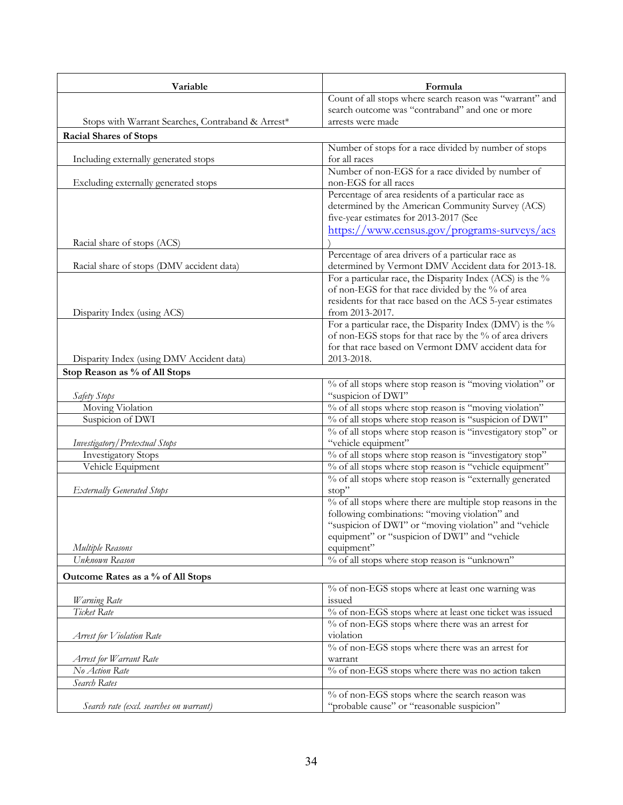| Variable                                          | Formula                                                                                                          |
|---------------------------------------------------|------------------------------------------------------------------------------------------------------------------|
|                                                   | Count of all stops where search reason was "warrant" and                                                         |
|                                                   | search outcome was "contraband" and one or more                                                                  |
| Stops with Warrant Searches, Contraband & Arrest* | arrests were made                                                                                                |
| <b>Racial Shares of Stops</b>                     |                                                                                                                  |
|                                                   | Number of stops for a race divided by number of stops                                                            |
| Including externally generated stops              | for all races                                                                                                    |
| Excluding externally generated stops              | Number of non-EGS for a race divided by number of<br>non-EGS for all races                                       |
|                                                   | Percentage of area residents of a particular race as                                                             |
|                                                   | determined by the American Community Survey (ACS)                                                                |
|                                                   | five-year estimates for 2013-2017 (See                                                                           |
|                                                   | https://www.census.gov/programs-surveys/acs                                                                      |
| Racial share of stops (ACS)                       |                                                                                                                  |
|                                                   | Percentage of area drivers of a particular race as<br>determined by Vermont DMV Accident data for 2013-18.       |
| Racial share of stops (DMV accident data)         | For a particular race, the Disparity Index (ACS) is the %                                                        |
|                                                   | of non-EGS for that race divided by the % of area                                                                |
|                                                   | residents for that race based on the ACS 5-year estimates                                                        |
| Disparity Index (using ACS)                       | from 2013-2017.                                                                                                  |
|                                                   | For a particular race, the Disparity Index (DMV) is the %                                                        |
|                                                   | of non-EGS stops for that race by the % of area drivers                                                          |
|                                                   | for that race based on Vermont DMV accident data for                                                             |
| Disparity Index (using DMV Accident data)         | 2013-2018.                                                                                                       |
| Stop Reason as % of All Stops                     |                                                                                                                  |
|                                                   | % of all stops where stop reason is "moving violation" or                                                        |
| Safety Stops                                      | "suspicion of DWI"                                                                                               |
| Moving Violation<br>Suspicion of DWI              | % of all stops where stop reason is "moving violation"<br>% of all stops where stop reason is "suspicion of DWI" |
|                                                   | % of all stops where stop reason is "investigatory stop" or                                                      |
| Investigatory / Pretextual Stops                  | "vehicle equipment"                                                                                              |
| <b>Investigatory Stops</b>                        | % of all stops where stop reason is "investigatory stop"                                                         |
| Vehicle Equipment                                 | % of all stops where stop reason is "vehicle equipment"                                                          |
|                                                   | % of all stops where stop reason is "externally generated                                                        |
| <b>Externally Generated Stops</b>                 | stop"                                                                                                            |
|                                                   | % of all stops where there are multiple stop reasons in the                                                      |
|                                                   | following combinations: "moving violation" and                                                                   |
|                                                   | "suspicion of DWI" or "moving violation" and "vehicle                                                            |
|                                                   | equipment" or "suspicion of DWI" and "vehicle<br>equipment"                                                      |
| Multiple Reasons<br>Unknown Reason                | % of all stops where stop reason is "unknown"                                                                    |
|                                                   |                                                                                                                  |
| Outcome Rates as a % of All Stops                 |                                                                                                                  |
|                                                   | % of non-EGS stops where at least one warning was<br>issued                                                      |
| Warning Rate<br>Ticket Rate                       | % of non-EGS stops where at least one ticket was issued                                                          |
|                                                   | % of non-EGS stops where there was an arrest for                                                                 |
| Arrest for Violation Rate                         | violation                                                                                                        |
|                                                   | % of non-EGS stops where there was an arrest for                                                                 |
| Arrest for Warrant Rate                           | warrant                                                                                                          |
| No Action Rate                                    | % of non-EGS stops where there was no action taken                                                               |
| Search Rates                                      |                                                                                                                  |
|                                                   | % of non-EGS stops where the search reason was                                                                   |
| Search rate (excl. searches on warrant)           | "probable cause" or "reasonable suspicion"                                                                       |